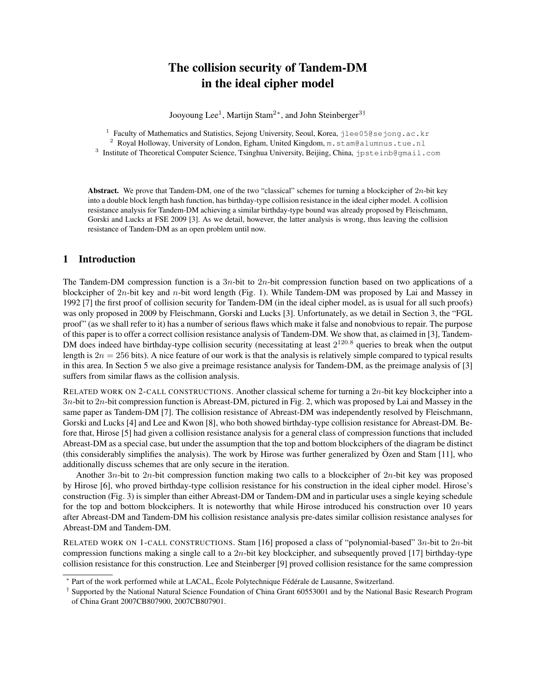# The collision security of Tandem-DM in the ideal cipher model

Jooyoung Lee<sup>1</sup> , Martijn Stam<sup>2</sup>*<sup>∗</sup>* , and John Steinberger<sup>3</sup>*†*

<sup>1</sup> Faculty of Mathematics and Statistics, Sejong University, Seoul, Korea, jlee05@sejong.ac.kr

<sup>2</sup> Royal Holloway, University of London, Egham, United Kingdom, m.stam@alumnus.tue.nl

 $^3$  Institute of Theoretical Computer Science, Tsinghua University, Beijing, China, jpsteinb@gmail.com

Abstract. We prove that Tandem-DM, one of the two "classical" schemes for turning a blockcipher of 2*n*-bit key into a double block length hash function, has birthday-type collision resistance in the ideal cipher model. A collision resistance analysis for Tandem-DM achieving a similar birthday-type bound was already proposed by Fleischmann, Gorski and Lucks at FSE 2009 [3]. As we detail, however, the latter analysis is wrong, thus leaving the collision resistance of Tandem-DM as an open problem until now.

# 1 Introduction

The Tandem-DM compression function is a 3*n*-bit to 2*n*-bit compression function based on two applications of a blockcipher of 2*n*-bit key and *n*-bit word length (Fig*.* 1). While Tandem-DM was proposed by Lai and Massey in 1992 [7] the first proof of collision security for Tandem-DM (in the ideal cipher model, as is usual for all such proofs) was only proposed in 2009 by Fleischmann, Gorski and Lucks [3]. Unfortunately, as we detail in Section 3, the "FGL proof" (as we shall refer to it) has a number of serious flaws which make it false and nonobvious to repair. The purpose of this paper is to offer a correct collision resistance analysis of Tandem-DM. We show that, as claimed in [3], Tandem-DM does indeed have birthday-type collision security (necessitating at least  $2^{120.8}$  queries to break when the output length is  $2n = 256$  bits). A nice feature of our work is that the analysis is relatively simple compared to typical results in this area. In Section 5 we also give a preimage resistance analysis for Tandem-DM, as the preimage analysis of [3] suffers from similar flaws as the collision analysis.

RELATED WORK ON 2-CALL CONSTRUCTIONS. Another classical scheme for turning a 2*n*-bit key blockcipher into a 3*n*-bit to 2*n*-bit compression function is Abreast-DM, pictured in Fig*.* 2, which was proposed by Lai and Massey in the same paper as Tandem-DM [7]. The collision resistance of Abreast-DM was independently resolved by Fleischmann, Gorski and Lucks [4] and Lee and Kwon [8], who both showed birthday-type collision resistance for Abreast-DM. Before that, Hirose [5] had given a collision resistance analysis for a general class of compression functions that included Abreast-DM as a special case, but under the assumption that the top and bottom blockciphers of the diagram be distinct (this considerably simplifies the analysis). The work by Hirose was further generalized by Ozen and Stam [11], who ¨ additionally discuss schemes that are only secure in the iteration.

Another 3*n*-bit to 2*n*-bit compression function making two calls to a blockcipher of 2*n*-bit key was proposed by Hirose [6], who proved birthday-type collision resistance for his construction in the ideal cipher model. Hirose's construction (Fig*.* 3) is simpler than either Abreast-DM or Tandem-DM and in particular uses a single keying schedule for the top and bottom blockciphers. It is noteworthy that while Hirose introduced his construction over 10 years after Abreast-DM and Tandem-DM his collision resistance analysis pre-dates similar collision resistance analyses for Abreast-DM and Tandem-DM.

RELATED WORK ON 1-CALL CONSTRUCTIONS. Stam [16] proposed a class of "polynomial-based" 3*n*-bit to 2*n*-bit compression functions making a single call to a 2*n*-bit key blockcipher, and subsequently proved [17] birthday-type collision resistance for this construction. Lee and Steinberger [9] proved collision resistance for the same compression

*<sup>\*</sup>* Part of the work performed while at LACAL, École Polytechnique Fédérale de Lausanne, Switzerland.

*<sup>†</sup>* Supported by the National Natural Science Foundation of China Grant 60553001 and by the National Basic Research Program of China Grant 2007CB807900, 2007CB807901.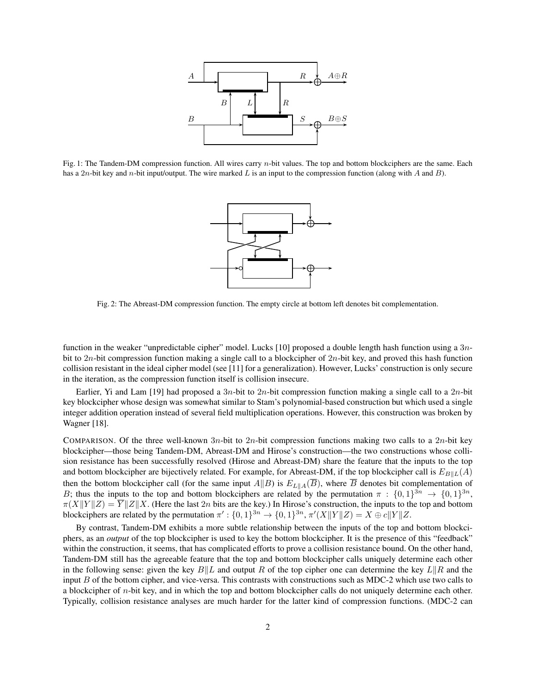

Fig. 1: The Tandem-DM compression function. All wires carry *n*-bit values. The top and bottom blockciphers are the same. Each has a 2*n*-bit key and *n*-bit input/output. The wire marked *L* is an input to the compression function (along with *A* and *B*).



Fig. 2: The Abreast-DM compression function. The empty circle at bottom left denotes bit complementation.

function in the weaker "unpredictable cipher" model. Lucks [10] proposed a double length hash function using a 3*n*bit to 2*n*-bit compression function making a single call to a blockcipher of 2*n*-bit key, and proved this hash function collision resistant in the ideal cipher model (see [11] for a generalization). However, Lucks' construction is only secure in the iteration, as the compression function itself is collision insecure.

Earlier, Yi and Lam [19] had proposed a 3*n*-bit to 2*n*-bit compression function making a single call to a 2*n*-bit key blockcipher whose design was somewhat similar to Stam's polynomial-based construction but which used a single integer addition operation instead of several field multiplication operations. However, this construction was broken by Wagner [18].

COMPARISON. Of the three well-known  $3n$ -bit to  $2n$ -bit compression functions making two calls to a  $2n$ -bit key blockcipher—those being Tandem-DM, Abreast-DM and Hirose's construction—the two constructions whose collision resistance has been successfully resolved (Hirose and Abreast-DM) share the feature that the inputs to the top and bottom blockcipher are bijectively related. For example, for Abreast-DM, if the top blockcipher call is *E<sup>B</sup>∥<sup>L</sup>*(*A*) then the bottom blockcipher call (for the same input *A∥B*) is *E<sup>L</sup>∥<sup>A</sup>*(*B*), where *B* denotes bit complementation of *B*; thus the inputs to the top and bottom blockciphers are related by the permutation  $\pi$  :  $\{0,1\}^{3n} \to \{0,1\}^{3n}$ ,  $\pi(X||Y||Z) = \overline{Y}||Z||X$ . (Here the last 2*n* bits are the key.) In Hirose's construction, the inputs to the top and bottom blockciphers are related by the permutation  $\pi': \{0,1\}^{3n} \to \{0,1\}^{3n}$ ,  $\pi'(X||Y||Z) = X \oplus c||Y||Z$ .

By contrast, Tandem-DM exhibits a more subtle relationship between the inputs of the top and bottom blockciphers, as an *output* of the top blockcipher is used to key the bottom blockcipher. It is the presence of this "feedback" within the construction, it seems, that has complicated efforts to prove a collision resistance bound. On the other hand, Tandem-DM still has the agreeable feature that the top and bottom blockcipher calls uniquely determine each other in the following sense: given the key *B∥L* and output *R* of the top cipher one can determine the key *L∥R* and the input *B* of the bottom cipher, and vice-versa. This contrasts with constructions such as MDC-2 which use two calls to a blockcipher of *n*-bit key, and in which the top and bottom blockcipher calls do not uniquely determine each other. Typically, collision resistance analyses are much harder for the latter kind of compression functions. (MDC-2 can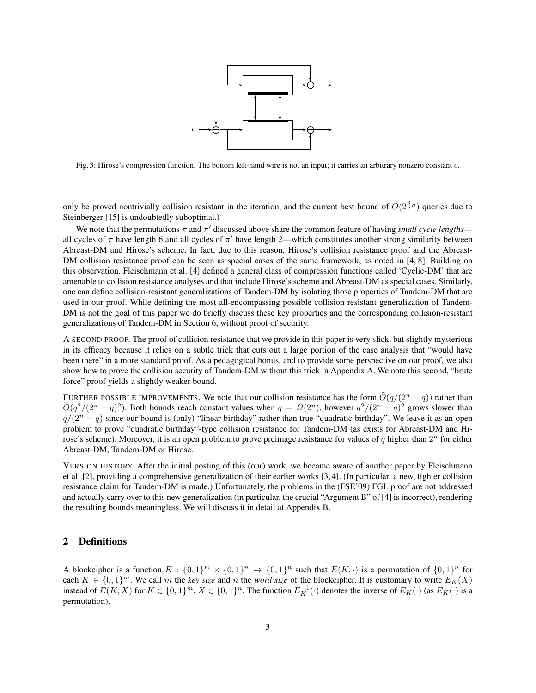

Fig. 3: Hirose's compression function. The bottom left-hand wire is not an input; it carries an arbitrary nonzero constant *c*.

only be proved nontrivially collision resistant in the iteration, and the current best bound of  $O(2^{\frac{3}{5}n})$  queries due to Steinberger [15] is undoubtedly suboptimal.)

We note that the permutations  $\pi$  and  $\pi'$  discussed above share the common feature of having *small cycle lengths* all cycles of *π* have length 6 and all cycles of *π ′* have length 2—which constitutes another strong similarity between Abreast-DM and Hirose's scheme. In fact, due to this reason, Hirose's collision resistance proof and the Abreast-DM collision resistance proof can be seen as special cases of the same framework, as noted in [4, 8]. Building on this observation, Fleischmann et al*.* [4] defined a general class of compression functions called 'Cyclic-DM' that are amenable to collision resistance analyses and that include Hirose's scheme and Abreast-DM as special cases. Similarly, one can define collision-resistant generalizations of Tandem-DM by isolating those properties of Tandem-DM that are used in our proof. While defining the most all-encompassing possible collision resistant generalization of Tandem-DM is not the goal of this paper we do briefly discuss these key properties and the corresponding collision-resistant generalizations of Tandem-DM in Section 6, without proof of security.

A SECOND PROOF. The proof of collision resistance that we provide in this paper is very slick, but slightly mysterious in its efficacy because it relies on a subtle trick that cuts out a large portion of the case analysis that "would have been there" in a more standard proof. As a pedagogical bonus, and to provide some perspective on our proof, we also show how to prove the collision security of Tandem-DM without this trick in Appendix A. We note this second, "brute force" proof yields a slightly weaker bound.

FURTHER POSSIBLE IMPROVEMENTS. We note that our collision resistance has the form  $\tilde{O}(q/(2^n - q))$  rather than  $\tilde{O}(q^2/(2^n - q)^2)$ . Both bounds reach constant values when  $q = \Omega(2^n)$ , however  $q^2/(2^n - q)^2$  grows slower than *q*/(2<sup>*n*</sup> − *q*) since our bound is (only) "linear birthday" rather than true "quadratic birthday". We leave it as an open problem to prove "quadratic birthday"-type collision resistance for Tandem-DM (as exists for Abreast-DM and Hirose's scheme). Moreover, it is an open problem to prove preimage resistance for values of q higher than  $2^n$  for either Abreast-DM, Tandem-DM or Hirose.

VERSION HISTORY. After the initial posting of this (our) work, we became aware of another paper by Fleischmann et al. [2], providing a comprehensive generalization of their earlier works [3, 4]. (In particular, a new, tighter collision resistance claim for Tandem-DM is made.) Unfortunately, the problems in the (FSE'09) FGL proof are not addressed and actually carry over to this new generalization (in particular, the crucial "Argument B" of [4] is incorrect), rendering the resulting bounds meaningless. We will discuss it in detail at Appendix B.

## 2 Definitions

A blockcipher is a function  $E: \{0,1\}^m \times \{0,1\}^n \to \{0,1\}^n$  such that  $E(K, \cdot)$  is a permutation of  $\{0,1\}^n$  for each  $K \in \{0,1\}^m$ . We call *m* the *key size* and *n* the *word size* of the blockcipher. It is customary to write  $E_K(X)$ instead of  $E(K, X)$  for  $K \in \{0, 1\}^m$ ,  $X \in \{0, 1\}^n$ . The function  $E_K^{-1}(\cdot)$  denotes the inverse of  $E_K(\cdot)$  (as  $E_K(\cdot)$  is a permutation).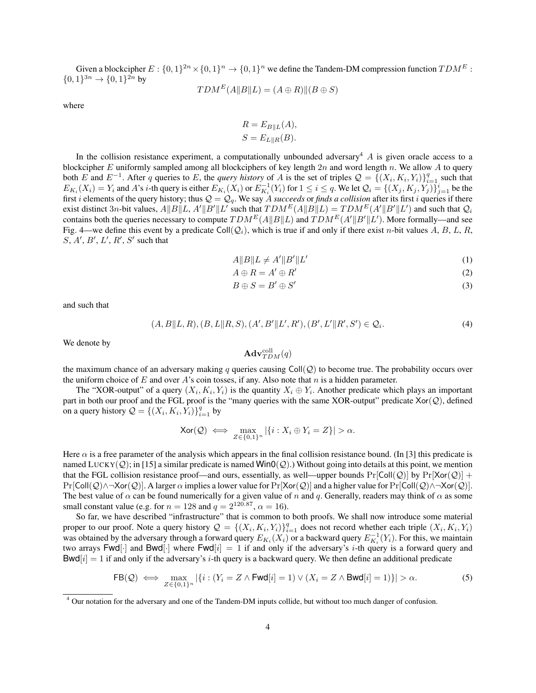Given a blockcipher  $E: \{0,1\}^{2n} \times \{0,1\}^n \to \{0,1\}^n$  we define the Tandem-DM compression function  $TDM^E$ :  $\{0, 1\}^{3n} \to \{0, 1\}^{2n}$  by

$$
TDM^{E}(A||B||L) = (A \oplus R)|| (B \oplus S)
$$

where

$$
R = E_{B||L}(A),
$$
  

$$
S = E_{L||R}(B).
$$

In the collision resistance experiment, a computationally unbounded adversary<sup>4</sup>  $A$  is given oracle access to a blockcipher *E* uniformly sampled among all blockciphers of key length 2*n* and word length *n*. We allow *A* to query both E and  $E^{-1}$ . After q queries to E, the query history of A is the set of triples  $\mathcal{Q} = \{(X_i, K_i, Y_i)\}_{i=1}^q$  such that  $E_{K_i}(X_i) = Y_i$  and A's *i*-th query is either  $E_{K_i}(X_i)$  or  $E_{K_i}^{-1}(Y_i)$  for  $1 \le i \le q$ . We let  $\mathcal{Q}_i = \{(X_j, K_j, Y_j)\}_{j=1}^i$  be the first *i* elements of the query history; thus *Q* = *Qq*. We say *A succeeds* or *finds a collision* after its first *i* queries if there exist distinct 3n-bit values,  $A\|B\|L$ ,  $A'\|B'\|L'$  such that  $TDM^E(A\|B\|L) = TDM^E(A'\|B'\|L')$  and such that  $\mathcal{Q}_i$ contains both the queries necessary to compute *T DM<sup>E</sup>*(*A∥B∥L*) and *T DM<sup>E</sup>*(*A′∥B′∥L ′* ). More formally—and see Fig. 4—we define this event by a predicate Coll $(Q_i)$ , which is true if and only if there exist *n*-bit values A, B, L, R,  $S, A', B', L', R', S'$  such that

$$
A||B||L \neq A'||B'||L'
$$
\n<sup>(1)</sup>

$$
A \oplus R = A' \oplus R'
$$
 (2)

$$
B \oplus S = B' \oplus S'
$$
 (3)

and such that

$$
(A, B||L, R), (B, L||R, S), (A', B'||L', R'), (B', L'||R', S') \in \mathcal{Q}_i.
$$
\n<sup>(4)</sup>

We denote by

$$
\mathbf{Adv}^{\text{coll}}_{TDM}(q)
$$

the maximum chance of an adversary making *q* queries causing  $Coll(Q)$  to become true. The probability occurs over the uniform choice of *E* and over *A*'s coin tosses, if any. Also note that *n* is a hidden parameter.

The "XOR-output" of a query  $(X_i, K_i, Y_i)$  is the quantity  $X_i \oplus Y_i$ . Another predicate which plays an important part in both our proof and the FGL proof is the "many queries with the same XOR-output" predicate Xor(*Q*), defined on a query history  $\mathcal{Q} = \{(X_i, K_i, Y_i)\}_{i=1}^q$  by

$$
\operatorname{Xor}(\mathcal{Q}) \iff \max_{Z \in \{0,1\}^n} |\{i : X_i \oplus Y_i = Z\}| > \alpha.
$$

Here  $\alpha$  is a free parameter of the analysis which appears in the final collision resistance bound. (In [3] this predicate is named LUCKY( $Q$ ); in [15] a similar predicate is named Win0( $Q$ ).) Without going into details at this point, we mention that the FGL collision resistance proof—and ours, essentially, as well—upper bounds  $Pr[Coll(Q)]$  by  $Pr[Xor(Q)]$  + Pr[Coll(*Q*)*∧¬*Xor(*Q*)]. A larger *α* implies a lower value for Pr[Xor(*Q*)] and a higher value for Pr[Coll(*Q*)*∧¬*Xor(*Q*)]. The best value of  $\alpha$  can be found numerically for a given value of *n* and *q*. Generally, readers may think of  $\alpha$  as some small constant value (e.g. for  $n = 128$  and  $q = 2^{120.87}$ ,  $\alpha = 16$ ).

So far, we have described "infrastructure" that is common to both proofs. We shall now introduce some material proper to our proof. Note a query history  $\mathcal{Q} = \{(X_i, K_i, Y_i)\}_{i=1}^q$  does not record whether each triple  $(X_i, K_i, Y_i)$ was obtained by the adversary through a forward query  $E_{K_i}(X_i)$  or a backward query  $E_{K_i}^{-1}(Y_i)$ . For this, we maintain two arrays Fwd[ $\cdot$ ] and Bwd[ $\cdot$ ] where Fwd[ $i$ ] = 1 if and only if the adversary's *i*-th query is a forward query and  $Bwd[i] = 1$  if and only if the adversary's *i*-th query is a backward query. We then define an additional predicate

$$
\mathsf{FB}(\mathcal{Q}) \iff \max_{Z \in \{0,1\}^n} |\{i : (Y_i = Z \land \mathsf{Fwd}[i] = 1) \lor (X_i = Z \land \mathsf{Bwd}[i] = 1)\}| > \alpha.
$$
 (5)

<sup>4</sup> Our notation for the adversary and one of the Tandem-DM inputs collide, but without too much danger of confusion.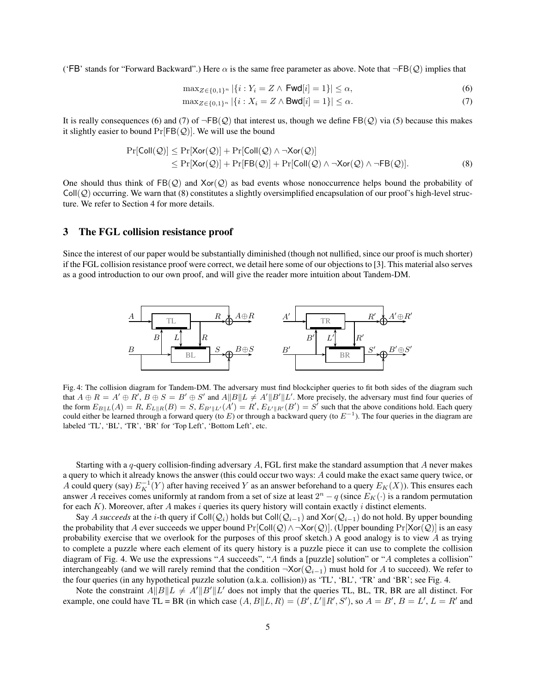('FB' stands for "Forward Backward".) Here *α* is the same free parameter as above. Note that *¬*FB(*Q*) implies that

$$
\max_{Z \in \{0,1\}^n} |\{i : Y_i = Z \land \mathsf{Fwd}[i] = 1\}| \le \alpha,
$$
\n(6)

$$
\max_{Z \in \{0,1\}^n} |\{i : X_i = Z \land \mathsf{Bwd}[i] = 1\}| \le \alpha. \tag{7}
$$

It is really consequences (6) and (7) of  $\neg$ FB(*Q*) that interest us, though we define FB(*Q*) via (5) because this makes it slightly easier to bound Pr[FB(*Q*)]. We will use the bound

$$
\Pr[\text{Coll}(\mathcal{Q})] \le \Pr[\text{Xor}(\mathcal{Q})] + \Pr[\text{Coll}(\mathcal{Q}) \land \neg \text{Xor}(\mathcal{Q})] \\
\le \Pr[\text{Xor}(\mathcal{Q})] + \Pr[\text{FB}(\mathcal{Q})] + \Pr[\text{Coll}(\mathcal{Q}) \land \neg \text{Xor}(\mathcal{Q}) \land \neg \text{FB}(\mathcal{Q})].\n\tag{8}
$$

One should thus think of FB(*Q*) and Xor(*Q*) as bad events whose nonoccurrence helps bound the probability of Coll(*Q*) occurring. We warn that (8) constitutes a slightly oversimplified encapsulation of our proof's high-level structure. We refer to Section 4 for more details.

#### 3 The FGL collision resistance proof

Since the interest of our paper would be substantially diminished (though not nullified, since our proof is much shorter) if the FGL collision resistance proof were correct, we detail here some of our objections to [3]. This material also serves as a good introduction to our own proof, and will give the reader more intuition about Tandem-DM.



Fig. 4: The collision diagram for Tandem-DM. The adversary must find blockcipher queries to fit both sides of the diagram such that  $A \oplus R = A' \oplus R', B \oplus S = B' \oplus S'$  and  $A||B||L \neq A'||B'||L'$ . More precisely, the adversary must find four queries of the form  $E_{B||L}(A) = R$ ,  $E_{L||R}(B) = S$ ,  $E_{B'||L'}(A') = R'$ ,  $E_{L'||R'}(B') = S'$  such that the above conditions hold. Each query could either be learned through a forward query (to *E*) or through a backward query (to *E −*1 ). The four queries in the diagram are labeled 'TL', 'BL', 'TR', 'BR' for 'Top Left', 'Bottom Left', etc.

Starting with a *q*-query collision-finding adversary *A*, FGL first make the standard assumption that *A* never makes a query to which it already knows the answer (this could occur two ways: *A* could make the exact same query twice, or *A* could query (say)  $E_K^{-1}(Y)$  after having received *Y* as an answer beforehand to a query  $E_K(X)$ ). This ensures each answer *A* receives comes uniformly at random from a set of size at least  $2^n - q$  (since  $E_K(\cdot)$  is a random permutation for each *K*). Moreover, after *A* makes *i* queries its query history will contain exactly *i* distinct elements.

Say *A* succeeds at the *i*-th query if Coll( $Q_i$ ) holds but Coll( $Q_{i-1}$ ) and Xor( $Q_{i-1}$ ) do not hold. By upper bounding the probability that *A* ever succeeds we upper bound  $Pr[Coll(Q) \wedge \neg Xor(Q)]$ . (Upper bounding  $Pr[Xor(Q)]$  is an easy probability exercise that we overlook for the purposes of this proof sketch.) A good analogy is to view *A* as trying to complete a puzzle where each element of its query history is a puzzle piece it can use to complete the collision diagram of Fig*.* 4. We use the expressions "*A* succeeds", "*A* finds a [puzzle] solution" or "*A* completes a collision" interchangeably (and we will rarely remind that the condition *¬*Xor(*Q<sup>i</sup>−*<sup>1</sup>) must hold for *A* to succeed). We refer to the four queries (in any hypothetical puzzle solution (a.k.a*.* collision)) as 'TL', 'BL', 'TR' and 'BR'; see Fig*.* 4.

Note the constraint  $A||B||L \neq A'||B'||L'$  does not imply that the queries TL, BL, TR, BR are all distinct. For example, one could have TL = BR (in which case  $(A, B||L, R) = (B', L'||R', S')$ , so  $A = B', B = L', L = R'$  and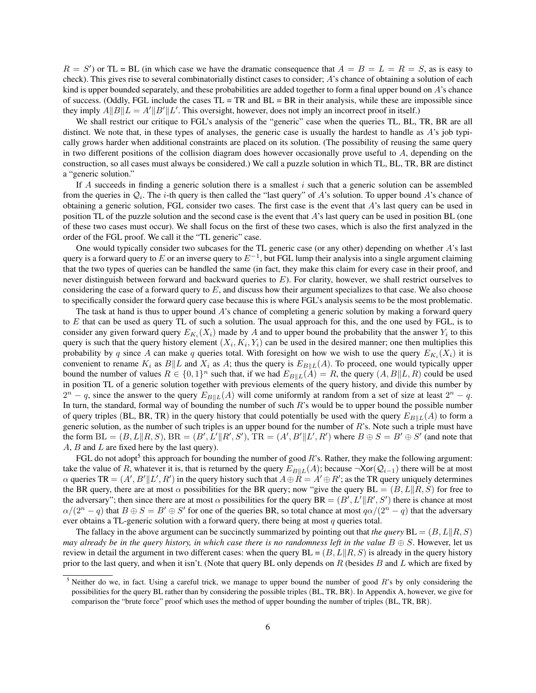$R = S'$  or TL = BL (in which case we have the dramatic consequence that  $A = B = L = R = S$ , as is easy to check). This gives rise to several combinatorially distinct cases to consider; *A*'s chance of obtaining a solution of each kind is upper bounded separately, and these probabilities are added together to form a final upper bound on *A*'s chance of success. (Oddly, FGL include the cases  $TL = TR$  and  $BL = BR$  in their analysis, while these are impossible since they imply  $A||B||L = A'||B'||L'$ . This oversight, however, does not imply an incorrect proof in itself.)

We shall restrict our critique to FGL's analysis of the "generic" case when the queries TL, BL, TR, BR are all distinct. We note that, in these types of analyses, the generic case is usually the hardest to handle as *A*'s job typically grows harder when additional constraints are placed on its solution. (The possibility of reusing the same query in two different positions of the collision diagram does however occasionally prove useful to *A*, depending on the construction, so all cases must always be considered.) We call a puzzle solution in which TL, BL, TR, BR are distinct a "generic solution."

If *A* succeeds in finding a generic solution there is a smallest *i* such that a generic solution can be assembled from the queries in *Q<sup>i</sup>* . The *i*-th query is then called the "last query" of *A*'s solution. To upper bound *A*'s chance of obtaining a generic solution, FGL consider two cases. The first case is the event that *A*'s last query can be used in position TL of the puzzle solution and the second case is the event that *A*'s last query can be used in position BL (one of these two cases must occur). We shall focus on the first of these two cases, which is also the first analyzed in the order of the FGL proof. We call it the "TL generic" case.

One would typically consider two subcases for the TL generic case (or any other) depending on whether *A*'s last query is a forward query to *E* or an inverse query to *E<sup>−</sup>*<sup>1</sup> , but FGL lump their analysis into a single argument claiming that the two types of queries can be handled the same (in fact, they make this claim for every case in their proof, and never distinguish between forward and backward queries to *E*). For clarity, however, we shall restrict ourselves to considering the case of a forward query to *E*, and discuss how their argument specializes to that case. We also choose to specifically consider the forward query case because this is where FGL's analysis seems to be the most problematic.

The task at hand is thus to upper bound *A*'s chance of completing a generic solution by making a forward query to *E* that can be used as query TL of such a solution. The usual approach for this, and the one used by FGL, is to consider any given forward query  $E_{K_i}(X_i)$  made by A and to upper bound the probability that the answer  $Y_i$  to this query is such that the query history element  $(X_i, K_i, Y_i)$  can be used in the desired manner; one then multiplies this probability by *q* since *A* can make *q* queries total. With foresight on how we wish to use the query *E<sup>K</sup><sup>i</sup>* (*Xi*) it is convenient to rename  $K_i$  as  $B||L$  and  $X_i$  as  $A$ ; thus the query is  $E_{B||L}(A)$ . To proceed, one would typically upper bound the number of values  $R \in \{0,1\}^n$  such that, if we had  $E_{B||L}(\mathring{A}) = R$ , the query  $(A, B||L, R)$  could be used in position TL of a generic solution together with previous elements of the query history, and divide this number by  $2^{n} - q$ , since the answer to the query  $E_{B||L}(A)$  will come uniformly at random from a set of size at least  $2^{n} - q$ . In turn, the standard, formal way of bounding the number of such *R*'s would be to upper bound the possible number of query triples (BL, BR, TR) in the query history that could potentially be used with the query  $E_{B||L}(A)$  to form a generic solution, as the number of such triples is an upper bound for the number of *R*'s. Note such a triple must have the form  $BL = (B, L||R, S)$ ,  $BR = (B', L'||R', S')$ ,  $TR = (A', B'||L', R')$  where  $B \oplus S = B' \oplus S'$  (and note that *A*, *B* and *L* are fixed here by the last query).

FGL do not adopt<sup>5</sup> this approach for bounding the number of good R's. Rather, they make the following argument: take the value of *R*, whatever it is, that is returned by the query  $E_{B||L}(A)$ ; because  $\neg Xor(Q_{i-1})$  there will be at most  $\alpha$  queries TR =  $(A', B'\|L', R')$  in the query history such that  $A \oplus R = A' \oplus R'$ ; as the TR query uniquely determines the BR query, there are at most  $\alpha$  possibilities for the BR query; now "give the query  $BL = (B, L||R, S)$  for free to the adversary"; then since there are at most  $\alpha$  possibilities for the query  $BR = (B', L'|R', S')$  there is chance at most  $\alpha/(2^n-q)$  that  $B \oplus S = B' \oplus S'$  for one of the queries BR, so total chance at most  $q\alpha/(2^n-q)$  that the adversary ever obtains a TL-generic solution with a forward query, there being at most *q* queries total.

The fallacy in the above argument can be succinctly summarized by pointing out that *the query*  $BL = (B, L||R, S)$ *may already be in the query history, in which case there is no randomness left in the value*  $B \oplus S$ . However, let us review in detail the argument in two different cases: when the query  $BL = (B, L||R, S)$  is already in the query history prior to the last query, and when it isn't. (Note that query BL only depends on *R* (besides *B* and *L* which are fixed by

<sup>5</sup> Neither do we, in fact. Using a careful trick, we manage to upper bound the number of good *R*'s by only considering the possibilities for the query BL rather than by considering the possible triples (BL, TR, BR). In Appendix A, however, we give for comparison the "brute force" proof which uses the method of upper bounding the number of triples (BL, TR, BR).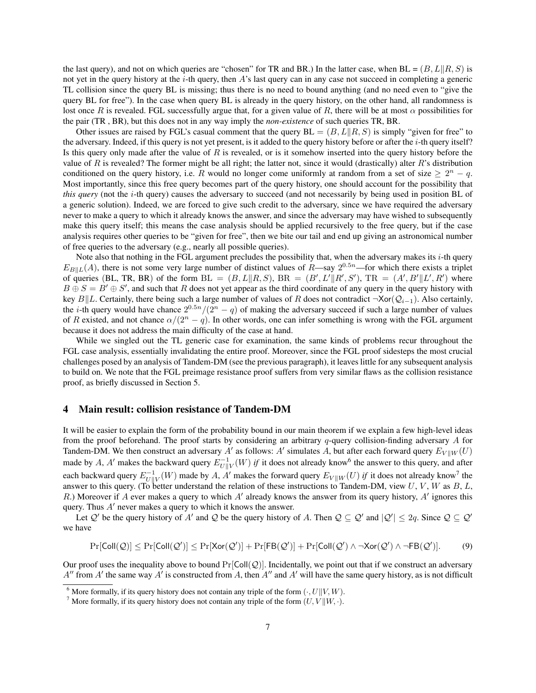the last query), and not on which queries are "chosen" for TR and BR.) In the latter case, when  $BL = (B, L | R, S)$  is not yet in the query history at the *i*-th query, then *A*'s last query can in any case not succeed in completing a generic TL collision since the query BL is missing; thus there is no need to bound anything (and no need even to "give the query BL for free"). In the case when query BL is already in the query history, on the other hand, all randomness is lost once *R* is revealed. FGL successfully argue that, for a given value of *R*, there will be at most  $\alpha$  possibilities for the pair (TR , BR), but this does not in any way imply the *non-existence* of such queries TR, BR.

Other issues are raised by FGL's casual comment that the query  $BL = (B, L||R, S)$  is simply "given for free" to the adversary. Indeed, if this query is not yet present, is it added to the query history before or after the *i*-th query itself? Is this query only made after the value of *R* is revealed, or is it somehow inserted into the query history before the value of *R* is revealed? The former might be all right; the latter not, since it would (drastically) alter *R*'s distribution conditioned on the query history, i.e. *R* would no longer come uniformly at random from a set of size  $\geq 2^n - q$ . Most importantly, since this free query becomes part of the query history, one should account for the possibility that *this query* (not the *i*-th query) causes the adversary to succeed (and not necessarily by being used in position BL of a generic solution). Indeed, we are forced to give such credit to the adversary, since we have required the adversary never to make a query to which it already knows the answer, and since the adversary may have wished to subsequently make this query itself; this means the case analysis should be applied recursively to the free query, but if the case analysis requires other queries to be "given for free", then we bite our tail and end up giving an astronomical number of free queries to the adversary (e.g., nearly all possible queries).

Note also that nothing in the FGL argument precludes the possibility that, when the adversary makes its *i*-th query  $E_{B||L}(A)$ , there is not some very large number of distinct values of *R*—say  $2^{0.5n}$ —for which there exists a triplet of queries (BL, TR, BR) of the form  $BL = (B, L||R, S)$ ,  $BR = (B', L'||R', S')$ ,  $TR = (A', B'||L', R')$  where  $B \oplus S = B' \oplus S'$ , and such that *R* does not yet appear as the third coordinate of any query in the query history with key *B∥L*. Certainly, there being such a large number of values of *R* does not contradict *¬*Xor(*Q<sup>i</sup>−*<sup>1</sup>). Also certainly, the *i*-th query would have chance  $2^{0.5n}/(2^n - q)$  of making the adversary succeed if such a large number of values of *R* existed, and not chance  $\alpha/(2^n - q)$ . In other words, one can infer something is wrong with the FGL argument because it does not address the main difficulty of the case at hand.

While we singled out the TL generic case for examination, the same kinds of problems recur throughout the FGL case analysis, essentially invalidating the entire proof. Moreover, since the FGL proof sidesteps the most crucial challenges posed by an analysis of Tandem-DM (see the previous paragraph), it leaves little for any subsequent analysis to build on. We note that the FGL preimage resistance proof suffers from very similar flaws as the collision resistance proof, as briefly discussed in Section 5.

#### 4 Main result: collision resistance of Tandem-DM

It will be easier to explain the form of the probability bound in our main theorem if we explain a few high-level ideas from the proof beforehand. The proof starts by considering an arbitrary *q*-query collision-finding adversary *A* for Tandem-DM. We then construct an adversary  $A'$  as follows:  $A'$  simulates  $A$ , but after each forward query  $E_{V||W}(U)$ made by *A*, *A'* makes the backward query  $E_{U||V}^{-1}(W)$  *if* it does not already know<sup>6</sup> the answer to this query, and after each backward query  $E^{-1}_{U||V}(W)$  made by *A*,  $\AA'$  makes the forward query  $E_{V||W}(U)$  *if* it does not already know<sup>7</sup> the answer to this query. (To better understand the relation of these instructions to Tandem-DM, view *U*, *V* , *W* as *B*, *L*, *R*.) Moreover if *A* ever makes a query to which *A′* already knows the answer from its query history, *A′* ignores this query. Thus *A′* never makes a query to which it knows the answer.

Let  $Q'$  be the query history of *A'* and  $Q$  be the query history of *A*. Then  $Q \subseteq Q'$  and  $|Q'| \leq 2q$ . Since  $Q \subseteq Q'$ we have

$$
\Pr[\text{Coll}(\mathcal{Q})] \leq \Pr[\text{Coll}(\mathcal{Q}')] \leq \Pr[\text{Xor}(\mathcal{Q}')] + \Pr[\text{FB}(\mathcal{Q}')] + \Pr[\text{Coll}(\mathcal{Q}') \land \neg \text{Xor}(\mathcal{Q}') \land \neg \text{FB}(\mathcal{Q}')]. \tag{9}
$$

Our proof uses the inequality above to bound  $Pr[Col(Q)]$ . Incidentally, we point out that if we construct an adversary *A′′* from *A′* the same way *A′* is constructed from *A*, then *A′′* and *A′* will have the same query history, as is not difficult

<sup>&</sup>lt;sup>6</sup> More formally, if its query history does not contain any triple of the form  $(\cdot, U||V, W)$ .

<sup>&</sup>lt;sup>7</sup> More formally, if its query history does not contain any triple of the form  $(U, V || W, \cdot)$ .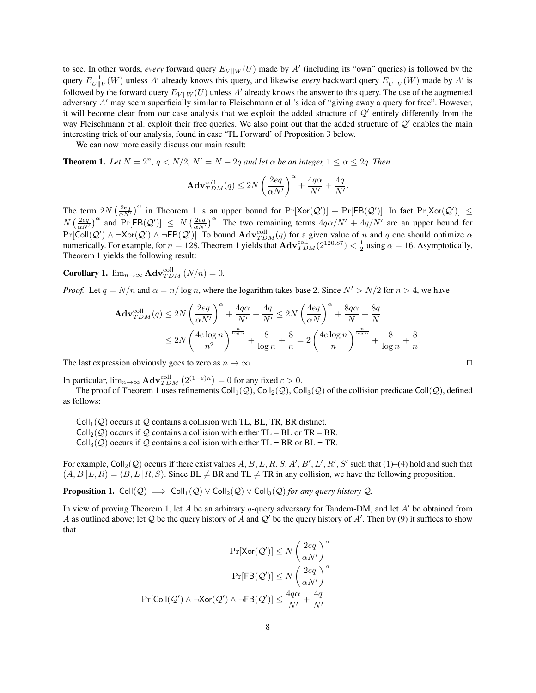to see. In other words, *every* forward query  $E_{V||W}(U)$  made by  $A'$  (including its "own" queries) is followed by the query  $E_{U||V}^{-1}(W)$  unless A' already knows this query, and likewise *every* backward query  $E_{U||V}^{-1}(W)$  made by A' is followed by the forward query  $E_{V||W}(U)$  unless  $A'$  already knows the answer to this query. The use of the augmented adversary *A′* may seem superficially similar to Fleischmann et al*.*'s idea of "giving away a query for free". However, it will become clear from our case analysis that we exploit the added structure of *Q′* entirely differently from the way Fleischmann et al*.* exploit their free queries. We also point out that the added structure of *Q′* enables the main interesting trick of our analysis, found in case 'TL Forward' of Proposition 3 below.

We can now more easily discuss our main result:

**Theorem 1.** Let  $N = 2^n$ ,  $q < N/2$ ,  $N' = N - 2q$  and let  $\alpha$  be an integer,  $1 \le \alpha \le 2q$ . Then

$$
\mathbf{Adv}_{TDM}^{\text{coll}}(q) \leq 2N \left(\frac{2eq}{\alpha N'}\right)^{\alpha} + \frac{4q\alpha}{N'} + \frac{4q}{N'}.
$$

The term  $2N\left(\frac{2eq}{\alpha N'}\right)^{\alpha}$  in Theorem 1 is an upper bound for  $\Pr[\text{Xor}(\mathcal{Q}')] + \Pr[\text{FB}(\mathcal{Q}')]$ . In fact  $\Pr[\text{Xor}(\mathcal{Q}')] \le$  $N\left(\frac{2eq}{\alpha N'}\right)^{\alpha}$  and  $\Pr[\text{FB}(\mathcal{Q}')] \leq N\left(\frac{2eq}{\alpha N'}\right)^{\alpha}$ . The two remaining terms  $4q\alpha/N' + 4q/N'$  are an upper bound for  $Pr[Coll(Q') \land \neg Xor(Q') \land \neg FB(Q')]$ . To bound  $Adv_{TDM}^{coll}(q)$  for a given value of *n* and *q* one should optimize  $\alpha$ numerically. For example, for  $n = 128$ , Theorem 1 yields that  $\text{Adv}_{TDM}^{\text{coll}}(2^{120.87}) < \frac{1}{2}$  using  $\alpha = 16$ . Asymptotically, Theorem 1 yields the following result:

**Corollary 1.**  $\lim_{n\to\infty} \mathbf{Adv}_{TDM}^{\text{coll}}(N/n) = 0.$ 

*Proof.* Let  $q = N/n$  and  $\alpha = n/\log n$ , where the logarithm takes base 2. Since  $N' > N/2$  for  $n > 4$ , we have

$$
\begin{split} \mathbf{Adv}_{TDM}^{\text{coll}}(q) &\leq 2N \left(\frac{2eq}{\alpha N'}\right)^{\alpha} + \frac{4q\alpha}{N'} + \frac{4q}{N'} \leq 2N \left(\frac{4eq}{\alpha N}\right)^{\alpha} + \frac{8q\alpha}{N} + \frac{8q}{N} \\ &\leq 2N \left(\frac{4e\log n}{n^2}\right)^{\frac{n}{\log n}} + \frac{8}{\log n} + \frac{8}{n} = 2\left(\frac{4e\log n}{n}\right)^{\frac{n}{\log n}} + \frac{8}{\log n} + \frac{8}{n}. \end{split}
$$

The last expression obviously goes to zero as  $n \to \infty$ .

In particular,  $\lim_{n\to\infty} \mathbf{Adv}_{TDM}^{\text{coll}}\left(2^{(1-\varepsilon)n}\right) = 0$  for any fixed  $\varepsilon > 0$ .

The proof of Theorem 1 uses refinements  $Coll_1(Q)$ ,  $Coll_2(Q)$ ,  $Coll_3(Q)$  of the collision predicate  $Coll(Q)$ , defined as follows:

 $Coll_1(Q)$  occurs if Q contains a collision with TL, BL, TR, BR distinct.

 $Coll_2(Q)$  occurs if Q contains a collision with either TL = BL or TR = BR.

 $\text{Coll}_3(\mathcal{Q})$  occurs if  $\mathcal Q$  contains a collision with either TL = BR or BL = TR.

For example, Coll<sub>2</sub>(*Q*) occurs if there exist values  $A, B, L, R, S, A', B', L', R', S'$  such that (1)–(4) hold and such that  $(A, B||L, R) = (B, L||R, S)$ . Since  $BL \neq BR$  and  $TL \neq TR$  in any collision, we have the following proposition.

**Proposition 1.** Coll( $Q$ )  $\implies$  Coll<sub>1</sub>( $Q$ )  $\lor$  Coll<sub>2</sub>( $Q$ )  $\lor$  Coll<sub>3</sub>( $Q$ ) *for any query history*  $Q$ *.* 

In view of proving Theorem 1, let *A* be an arbitrary *q*-query adversary for Tandem-DM, and let *A′* be obtained from *A* as outlined above; let *Q* be the query history of *A* and *Q′* be the query history of *A′* . Then by (9) it suffices to show that

$$
\Pr[\mathrm{Xor}(\mathcal{Q}')] \leq N \left(\frac{2eq}{\alpha N'}\right)^{\alpha}
$$

$$
\Pr[\mathrm{FB}(\mathcal{Q}')] \leq N \left(\frac{2eq}{\alpha N'}\right)^{\alpha}
$$

$$
\Pr[\mathrm{Coll}(\mathcal{Q}') \wedge \neg \mathrm{Xor}(\mathcal{Q}') \wedge \neg \mathrm{FB}(\mathcal{Q}')] \leq \frac{4q\alpha}{N'} + \frac{4q}{N'}
$$

| ۰ | ٦ |  |
|---|---|--|
|   |   |  |
|   |   |  |
|   |   |  |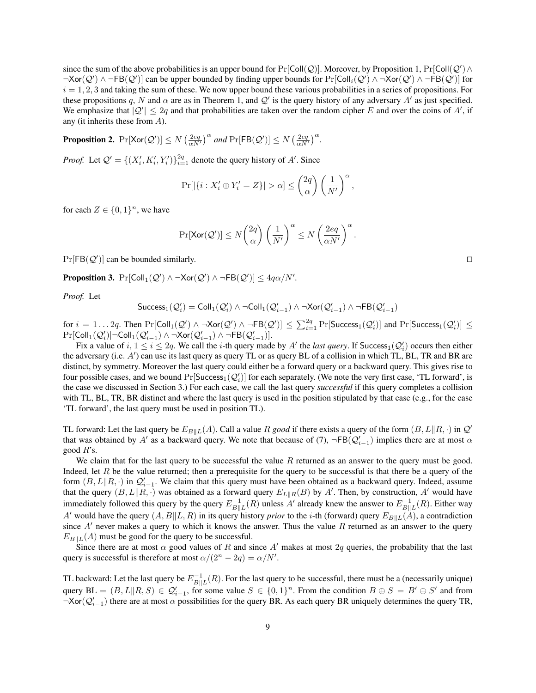since the sum of the above probabilities is an upper bound for  $Pr[Coll(Q)]$ . Moreover, by Proposition 1,  $Pr[Coll(Q') \wedge )$ *¬*Xor(*Q′* ) *∧ ¬*FB(*Q′* )] can be upper bounded by finding upper bounds for Pr[Coll*i*(*Q′* ) *∧ ¬*Xor(*Q′* ) *∧ ¬*FB(*Q′* )] for  $i = 1, 2, 3$  and taking the sum of these. We now upper bound these various probabilities in a series of propositions. For these propositions q, N and  $\alpha$  are as in Theorem 1, and  $Q'$  is the query history of any adversary  $A'$  as just specified. We emphasize that  $|Q'| \leq 2q$  and that probabilities are taken over the random cipher *E* and over the coins of *A'*, if any (it inherits these from *A*).

**Proposition 2.**  $Pr[Xor(Q')] \leq N \left(\frac{2eq}{\alpha N'}\right)^{\alpha}$  and  $Pr[FB(Q')] \leq N \left(\frac{2eq}{\alpha N'}\right)^{\alpha}$ .

*Proof.* Let  $\mathcal{Q}' = \left\{ (X'_i, K'_i, Y'_i) \right\}_{i=1}^{2q}$  denote the query history of *A'*. Since

$$
\Pr[|\{i:X'_i\oplus Y'_i=Z\}|>\alpha]\leq \binom{2q}{\alpha}\left(\frac{1}{N'}\right)^{\alpha},\,
$$

for each  $Z \in \{0, 1\}^n$ , we have

$$
\Pr[\mathsf{Xor}(\mathcal{Q}')] \le N \binom{2q}{\alpha} \left(\frac{1}{N'}\right)^{\alpha} \le N \left(\frac{2eq}{\alpha N'}\right)^{\alpha}.
$$

 $Pr[FB(Q')]$  can be bounded similarly.  $□$ 

**Proposition 3.**  $Pr[Coll_1(\mathcal{Q}') \wedge \neg Xor(\mathcal{Q}') \wedge \neg FB(\mathcal{Q}')] \leq 4q\alpha/N'.$ 

*Proof.* Let

$$
\mathsf{Success}_1(\mathcal{Q}'_i) = \mathsf{Coll}_1(\mathcal{Q}'_i) \wedge \neg \mathsf{Coll}_1(\mathcal{Q}'_{i-1}) \wedge \neg \mathsf{Xor}(\mathcal{Q}'_{i-1}) \wedge \neg \mathsf{FB}(\mathcal{Q}'_{i-1})
$$

for  $i=1...2q$ . Then  $\Pr[\textsf{Coll}_1(\mathcal{Q}') \wedge \neg \textsf{Xor}(\mathcal{Q}') \wedge \neg \textsf{FB}(\mathcal{Q}')] \leq \sum_{i=1}^{2q} \Pr[\textsf{Success}_1(\mathcal{Q}'_i)]$  and  $\Pr[\textsf{Success}_1(\mathcal{Q}'_i)] \leq \Pr[\textsf{Success}_1(\mathcal{Q}'_i)]$  $Pr[\mathsf{Coll}_1(\mathcal{Q}'_i)|\neg\mathsf{Coll}_1(\mathcal{Q}'_{i-1}) \wedge \neg\mathsf{Xor}(\mathcal{Q}'_{i-1}) \wedge \neg\mathsf{FB}(\mathcal{Q}'_{i-1})].$ 

Fix a value of  $i, 1 \le i \le 2q$ . We call the *i*-th query made by A' the *last query*. If Success<sub>1</sub>( $\mathcal{Q}'_i$ ) occurs then either the adversary (i.e*. A′* ) can use its last query as query TL or as query BL of a collision in which TL, BL, TR and BR are distinct, by symmetry. Moreover the last query could either be a forward query or a backward query. This gives rise to four possible cases, and we bound  $Pr[S$ uccess<sub>1</sub> $(Q'_i)]$  for each separately. (We note the very first case, 'TL forward', is the case we discussed in Section 3.) For each case, we call the last query *successful* if this query completes a collision with TL, BL, TR, BR distinct and where the last query is used in the position stipulated by that case (e.g*.*, for the case 'TL forward', the last query must be used in position TL).

TL forward: Let the last query be  $E_{B||L}(A)$ . Call a value *R* good if there exists a query of the form  $(B, L||R, \cdot)$  in  $Q'$ that was obtained by *A'* as a backward query. We note that because of (7),  $\neg FB(Q'_{i-1})$  implies there are at most  $\alpha$ good *R*'s.

We claim that for the last query to be successful the value *R* returned as an answer to the query must be good. Indeed, let *R* be the value returned; then a prerequisite for the query to be successful is that there be a query of the form (*B, L∥R, ·*) in *Q′ i−*1 . We claim that this query must have been obtained as a backward query. Indeed, assume that the query  $(B, L||R, \cdot)$  was obtained as a forward query  $E_{L||R}(B)$  by  $A'$ . Then, by construction,  $A'$  would have immediately followed this query by the query  $E_{B||L}^{-1}(R)$  unless A' already knew the answer to  $E_{B||L}^{-1}(R)$ . Either way *A′* would have the query (*A, B∥L, R*) in its query history *prior* to the *i*-th (forward) query *E<sup>B</sup>∥<sup>L</sup>*(*A*), a contradiction since *A′* never makes a query to which it knows the answer. Thus the value *R* returned as an answer to the query  $E_{B||L}(A)$  must be good for the query to be successful.

Since there are at most  $\alpha$  good values of *R* and since  $A'$  makes at most 2*q* queries, the probability that the last query is successful is therefore at most  $\alpha/(2^n - 2q) = \alpha/N'$ .

TL backward: Let the last query be  $E^{-1}_{B||L}(R)$ . For the last query to be successful, there must be a (necessarily unique) query  $BL = (B, L||R, S) \in \mathcal{Q}'_{i-1}$ , for some value  $S \in \{0, 1\}^n$ . From the condition  $B \oplus S = B' \oplus S'$  and from *¬*Xor(*Q′ i−*1 ) there are at most *α* possibilities for the query BR. As each query BR uniquely determines the query TR,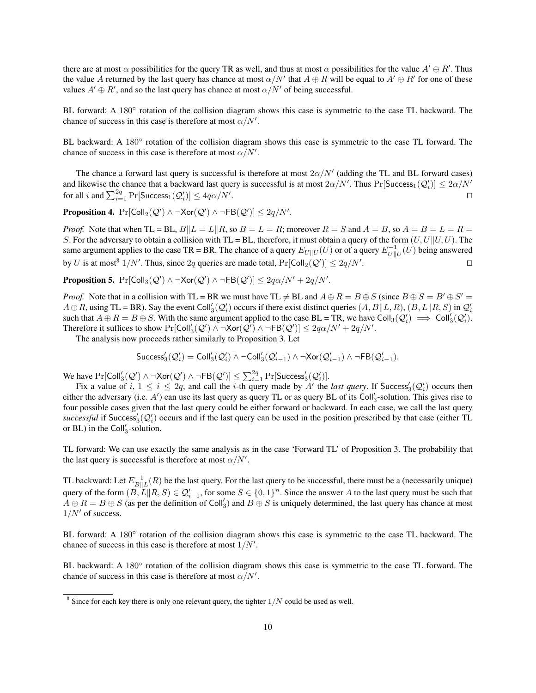there are at most  $\alpha$  possibilities for the query TR as well, and thus at most  $\alpha$  possibilities for the value  $A' \oplus R'$ . Thus the value *A* returned by the last query has chance at most  $\alpha/N'$  that  $A \oplus R$  will be equal to  $A' \oplus R'$  for one of these values  $A' \oplus R'$ , and so the last query has chance at most  $\alpha/N'$  of being successful.

BL forward: A 180<sup>°</sup> rotation of the collision diagram shows this case is symmetric to the case TL backward. The chance of success in this case is therefore at most  $\alpha/N'$ .

BL backward: A 180<sup>°</sup> rotation of the collision diagram shows this case is symmetric to the case TL forward. The chance of success in this case is therefore at most  $\alpha/N'$ .

The chance a forward last query is successful is therefore at most  $2\alpha/N'$  (adding the TL and BL forward cases) and likewise the chance that a backward last query is successful is at most  $2\alpha/N'$ . Thus  $Pr[$ Success<sub>1</sub> $(Q'_i)$ ]  $\leq 2\alpha/N'$ for all *i* and  $\sum_{i=1}^{2q} \Pr[\mathsf{Success}_1(\mathcal{Q}'_i)] \le 4q\alpha/N'$ . *⊓⊔*

 $\text{Proposition 4.}$   $\Pr[\text{Coll}_2(\mathcal{Q}') \wedge \neg \text{Xor}(\mathcal{Q}') \wedge \neg \text{FB}(\mathcal{Q}')] \leq 2q/N'.$ 

*Proof.* Note that when TL = BL,  $B||L = L||R$ , so  $B = L = R$ ; moreover  $R = S$  and  $A = B$ , so  $A = B = L = R =$ *S*. For the adversary to obtain a collision with TL = BL, therefore, it must obtain a query of the form  $(U, U||U, U)$ . The same argument applies to the case TR = BR. The chance of a query  $E_{U||U}(U)$  or of a query  $E_{U||U}^{-1}(U)$  being answered by *U* is at most<sup>8</sup>  $1/N'$ . Thus, since  $2q$  queries are made total,  $\Pr[\textsf{Coll}_2(\mathcal{Q}')]\leq 2q/N'$ . *⊓⊔*

**Proposition 5.**  $Pr[Coll_3(\mathcal{Q}') \wedge \neg Xor(\mathcal{Q}') \wedge \neg FB(\mathcal{Q}')] \leq 2q\alpha/N' + 2q/N'.$ 

*Proof.* Note that in a collision with TL = BR we must have TL  $\neq$  BL and  $A \oplus R = B \oplus S$  (since  $B \oplus S = B' \oplus S' = B' \oplus S'$ )  $A \oplus R$ , using TL = BR). Say the event Coll'<sub>3</sub>( $\mathcal{Q}'_i$ ) occurs if there exist distinct queries  $(A, B||L, R)$ ,  $(B, L||R, S)$  in  $\mathcal{Q}'_i$ such that  $A \oplus R = B \oplus S$ . With the same argument applied to the case  $BL = TR$ , we have  $Coll_3(\mathcal{Q}'_i) \implies Coll'_3(\mathcal{Q}'_i)$ . Therefore it suffices to show  $\Pr[\text{Coll}'_3(\mathcal{Q}') \wedge \neg \text{Xor}(\mathcal{Q}') \wedge \neg \text{FB}(\mathcal{Q}')] \leq 2q\alpha/N' + 2q/N'.$ 

The analysis now proceeds rather similarly to Proposition 3. Let

$$
\mathsf{Success}_3'(\mathcal{Q}_i') = \mathsf{Coll}_3'(\mathcal{Q}_i') \wedge \neg \mathsf{Coll}_3'(\mathcal{Q}_{i-1}') \wedge \neg \mathsf{Xor}(\mathcal{Q}_{i-1}') \wedge \neg \mathsf{FB}(\mathcal{Q}_{i-1}').
$$

We have  $Pr[Col'_3(\mathcal{Q}') \wedge \neg Xor(\mathcal{Q}') \wedge \neg FB(\mathcal{Q}')] \leq \sum_{i=1}^{2q} Pr[Success'_3(\mathcal{Q}'_i)].$ 

Fix a value of *i*,  $1 \le i \le 2q$ , and call the *i*-th query made by *A'* the *last query*. If Success<sup>'</sup><sub>3</sub>( $\mathcal{Q}'_i$ ) occurs then either the adversary (i.e. A<sup>*'*</sup>) can use its last query as query TL or as query BL of its Coll<sup>'</sup><sub>3</sub>-solution. This gives rise to four possible cases given that the last query could be either forward or backward. In each case, we call the last query *successful* if Success*′* 3 (*Q′ i* ) occurs and if the last query can be used in the position prescribed by that case (either TL or BL) in the Coll<sup>'</sup><sub>3</sub>-solution.

TL forward: We can use exactly the same analysis as in the case 'Forward TL' of Proposition 3. The probability that the last query is successful is therefore at most  $\alpha/N'$ .

TL backward: Let  $E^{-1}_{B||L}(R)$  be the last query. For the last query to be successful, there must be a (necessarily unique) query of the form  $(B, L \| R, S) \in \mathcal{Q}'_{i-1}$ , for some  $S \in \{0, 1\}^n$ . Since the answer *A* to the last query must be such that  $A \oplus R = B \oplus S$  (as per the definition of Coll<sup>'</sup><sub>3</sub>) and  $B \oplus S$  is uniquely determined, the last query has chance at most 1*/N′* of success.

BL forward: A 180<sup>°</sup> rotation of the collision diagram shows this case is symmetric to the case TL backward. The chance of success in this case is therefore at most 1*/N′* .

BL backward: A 180*◦* rotation of the collision diagram shows this case is symmetric to the case TL forward. The chance of success in this case is therefore at most  $\alpha/N'$ .

<sup>8</sup> Since for each key there is only one relevant query, the tighter 1*/N* could be used as well.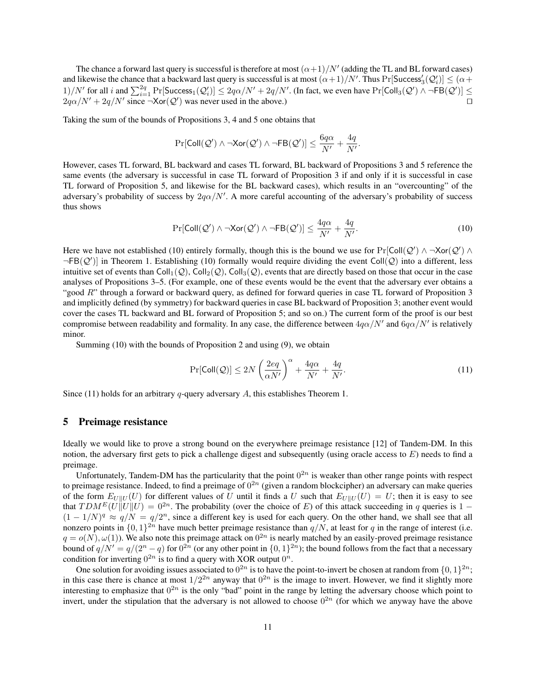The chance a forward last query is successful is therefore at most  $(\alpha+1)/N'$  (adding the TL and BL forward cases) and likewise the chance that a backward last query is successful is at most  $(\alpha+1)/N'$ . Thus  $\Pr[\text{Success}'_3(\mathcal{Q}'_i)] \leq (\alpha+1)/N'$ 1)/N' for all i and  $\sum_{i=1}^{2q} \Pr[\text{Success}_1(\mathcal{Q}_i')] \leq 2q\alpha/N' + 2q/N'$ . (In fact, we even have  $\Pr[\text{Coll}_3(\mathcal{Q}') \wedge \neg \text{FB}(\mathcal{Q}')] \leq$  $2q\alpha/N' + 2q/N'$  since  $\neg Xor(Q')$  was never used in the above.)  $\Box$ 

Taking the sum of the bounds of Propositions 3, 4 and 5 one obtains that

$$
\Pr[\textup{Coll}(\mathcal{Q}') \wedge \neg \textup{Xor}(\mathcal{Q}') \wedge \neg \textup{FB}(\mathcal{Q}')] \leq \frac{6q\alpha}{N'} + \frac{4q}{N'}.
$$

However, cases TL forward, BL backward and cases TL forward, BL backward of Propositions 3 and 5 reference the same events (the adversary is successful in case TL forward of Proposition 3 if and only if it is successful in case TL forward of Proposition 5, and likewise for the BL backward cases), which results in an "overcounting" of the adversary's probability of success by 2*qα/N′* . A more careful accounting of the adversary's probability of success thus shows

$$
\Pr[\text{Coll}(\mathcal{Q}') \land \neg \text{Xor}(\mathcal{Q}') \land \neg \text{FB}(\mathcal{Q}')] \le \frac{4q\alpha}{N'} + \frac{4q}{N'}.
$$
\n(10)

Here we have not established (10) entirely formally, though this is the bound we use for  $Pr[Col(Q') \wedge \neg Xor(Q') \wedge$ *¬*FB(*Q′* )] in Theorem 1. Establishing (10) formally would require dividing the event Coll(*Q*) into a different, less intuitive set of events than Coll<sub>1</sub>( $Q$ ), Coll<sub>2</sub>( $Q$ ), Coll<sub>3</sub>( $Q$ ), events that are directly based on those that occur in the case analyses of Propositions 3–5. (For example, one of these events would be the event that the adversary ever obtains a "good *R*" through a forward or backward query, as defined for forward queries in case TL forward of Proposition 3 and implicitly defined (by symmetry) for backward queries in case BL backward of Proposition 3; another event would cover the cases TL backward and BL forward of Proposition 5; and so on.) The current form of the proof is our best compromise between readability and formality. In any case, the difference between  $4q\alpha/N'$  and  $6q\alpha/N'$  is relatively minor.

Summing (10) with the bounds of Proposition 2 and using (9), we obtain

$$
\Pr[\text{Coll}(\mathcal{Q})] \le 2N \left(\frac{2eq}{\alpha N'}\right)^{\alpha} + \frac{4q\alpha}{N'} + \frac{4q}{N'}.
$$
\n(11)

Since (11) holds for an arbitrary *q*-query adversary *A*, this establishes Theorem 1.

#### 5 Preimage resistance

Ideally we would like to prove a strong bound on the everywhere preimage resistance [12] of Tandem-DM. In this notion, the adversary first gets to pick a challenge digest and subsequently (using oracle access to *E*) needs to find a preimage.

Unfortunately, Tandem-DM has the particularity that the point  $0^{2n}$  is weaker than other range points with respect to preimage resistance. Indeed, to find a preimage of 0 <sup>2</sup>*<sup>n</sup>* (given a random blockcipher) an adversary can make queries of the form  $E_{U||U}(U)$  for different values of *U* until it finds a *U* such that  $E_{U||U}(U) = U$ ; then it is easy to see that  $TDM^E(U||U||U) = 0^{2n}$ . The probability (over the choice of *E*) of this attack succeeding in *q* queries is 1 −  $(1 - 1/N)^q \approx q/N = q/2^n$ , since a different key is used for each query. On the other hand, we shall see that all nonzero points in  $\{0,1\}^{2n}$  have much better preimage resistance than  $q/N$ , at least for  $q$  in the range of interest (i.e.  $q = o(N)$ ,  $\omega(1)$ ). We also note this preimage attack on  $0^{2n}$  is nearly matched by an easily-proved preimage resistance bound of  $q/N' = q/(2^n - q)$  for  $0^{2n}$  (or any other point in  $\{0, 1\}^{2n}$ ); the bound follows from the fact that a necessary condition for inverting  $0^{2n}$  is to find a query with XOR output  $0^n$ .

One solution for avoiding issues associated to  $0^{2n}$  is to have the point-to-invert be chosen at random from  $\{0,1\}^{2n}$ ; in this case there is chance at most  $1/2^{2n}$  anyway that  $0^{2n}$  is the image to invert. However, we find it slightly more interesting to emphasize that  $0^{2n}$  is the only "bad" point in the range by letting the adversary choose which point to invert, under the stipulation that the adversary is not allowed to choose  $0^{2n}$  (for which we anyway have the above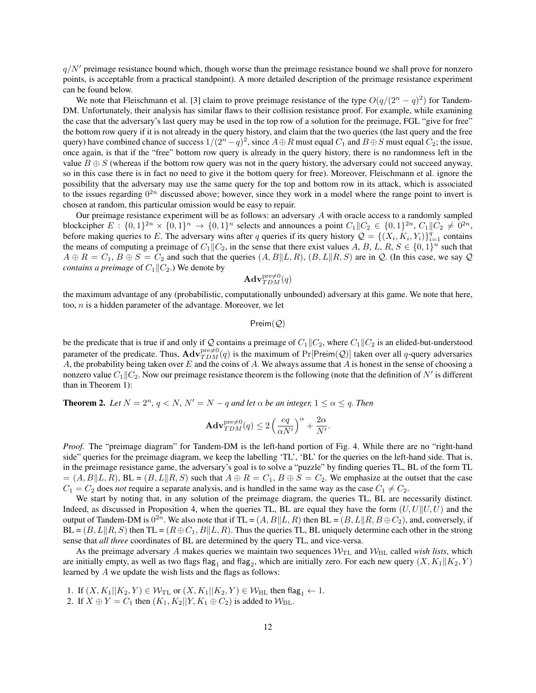$q/N'$  preimage resistance bound which, though worse than the preimage resistance bound we shall prove for nonzero points, is acceptable from a practical standpoint). A more detailed description of the preimage resistance experiment can be found below.

We note that Fleischmann et al. [3] claim to prove preimage resistance of the type  $O(q/(2^n - q)^2)$  for Tandem-DM. Unfortunately, their analysis has similar flaws to their collision resistance proof. For example, while examining the case that the adversary's last query may be used in the top row of a solution for the preimage, FGL "give for free" the bottom row query if it is not already in the query history, and claim that the two queries (the last query and the free query) have combined chance of success  $1/(2^n - q)^2$ , since  $A \oplus R$  must equal  $C_1$  and  $B \oplus S$  must equal  $C_2$ ; the issue, once again, is that if the "free" bottom row query is already in the query history, there is no randomness left in the value  $B \oplus S$  (whereas if the bottom row query was not in the query history, the adversary could not succeed anyway, so in this case there is in fact no need to give it the bottom query for free). Moreover, Fleischmann et al*.* ignore the possibility that the adversary may use the same query for the top and bottom row in its attack, which is associated to the issues regarding 0 <sup>2</sup>*<sup>n</sup>* discussed above; however, since they work in a model where the range point to invert is chosen at random, this particular omission would be easy to repair.

Our preimage resistance experiment will be as follows: an adversary *A* with oracle access to a randomly sampled blockcipher  $E: \{0,1\}^{2n} \times \{0,1\}^n \to \{0,1\}^n$  selects and announces a point  $C_1||C_2 \in \{0,1\}^{2n}, C_1||C_2 \neq 0^{2n}$ , before making queries to E. The adversary wins after q queries if its query history  $\mathcal{Q} = \{(X_i, K_i, Y_i)\}_{i=1}^q$  contains the means of computing a preimage of  $C_1 \parallel C_2$ , in the sense that there exist values  $A, B, L, R, S \in \{0, 1\}^n$  such that  $A \oplus R = C_1$ ,  $B \oplus S = C_2$  and such that the queries  $(A, B||L, R)$ ,  $(B, L||R, S)$  are in *Q*. (In this case, we say *Q contains a preimage* of  $C_1 \parallel C_2$ .) We denote by

$$
\mathbf{Adv}^{\mathrm{pre}\neq 0}_{TDM}(q)
$$

the maximum advantage of any (probabilistic, computationally unbounded) adversary at this game. We note that here, too, *n* is a hidden parameter of the advantage. Moreover, we let

Preim(*Q*)

be the predicate that is true if and only if Q contains a preimage of  $C_1 \parallel C_2$ , where  $C_1 \parallel C_2$  is an elided-but-understood parameter of the predicate. Thus,  $\text{Adv}_{TDM}^{\text{pre}\neq0}(q)$  is the maximum of  $\Pr[\text{Preim}(\mathcal{Q})]$  taken over all *q*-query adversaries *A*, the probability being taken over *E* and the coins of *A*. We always assume that *A* is honest in the sense of choosing a nonzero value *C*1*∥C*2. Now our preimage resistance theorem is the following (note that the definition of *N′* is different than in Theorem 1):

**Theorem 2.** Let  $N = 2^n$ ,  $q < N$ ,  $N' = N - q$  and let  $\alpha$  be an integer,  $1 \leq \alpha \leq q$ . Then

$$
\mathbf{Adv}_{TDM}^{\mathrm{pre}\neq 0}(q) \le 2\left(\frac{eq}{\alpha N'}\right)^{\alpha} + \frac{2\alpha}{N'}
$$

*.*

*Proof.* The "preimage diagram" for Tandem-DM is the left-hand portion of Fig*.* 4. While there are no "right-hand side" queries for the preimage diagram, we keep the labelling 'TL', 'BL' for the queries on the left-hand side. That is, in the preimage resistance game, the adversary's goal is to solve a "puzzle" by finding queries TL, BL of the form TL  $=(A, B||L, R)$ ,  $BL = (B, L||R, S)$  such that  $A \oplus R = C_1$ ,  $B \oplus S = C_2$ . We emphasize at the outset that the case  $C_1 = C_2$  does *not* require a separate analysis, and is handled in the same way as the case  $C_1 \neq C_2$ .

We start by noting that, in any solution of the preimage diagram, the queries TL, BL are necessarily distinct. Indeed, as discussed in Proposition 4, when the queries TL, BL are equal they have the form  $(U, U||U, U)$  and the output of Tandem-DM is  $0^{2n}$ . We also note that if TL =  $(A, B \| L, R)$  then BL =  $(B, L \| R, B \oplus C_2)$ , and, conversely, if  $BL = (B, L||R, S)$  then  $TL = (R \oplus C_1, B||L, R)$ . Thus the queries TL, BL uniquely determine each other in the strong sense that *all three* coordinates of BL are determined by the query TL, and vice-versa.

As the preimage adversary A makes queries we maintain two sequences  $W_{TL}$  and  $W_{BL}$  called *wish lists*, which are initially empty, as well as two flags flag<sub>1</sub> and flag<sub>2</sub>, which are initially zero. For each new query  $(X, K_1 \| K_2, Y)$ learned by *A* we update the wish lists and the flags as follows:

- 1. If  $(X, K_1||K_2, Y) \in W_{\text{TL}}$  or  $(X, K_1||K_2, Y) \in W_{\text{BL}}$  then flag<sub>1</sub>  $\leftarrow$  1.
- 2. If  $X \oplus Y = C_1$  then  $(K_1, K_2||Y, K_1 \oplus C_2)$  is added to  $W_{\text{BL}}$ .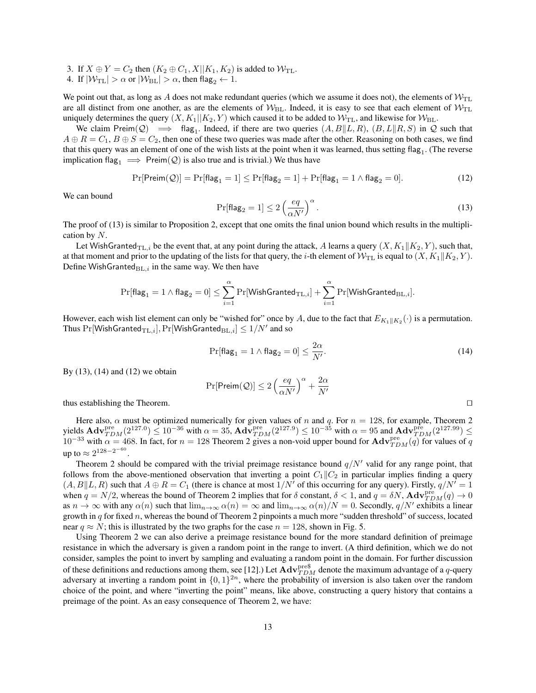3. If  $X \oplus Y = C_2$  then  $(K_2 \oplus C_1, X \mid |K_1, K_2)$  is added to  $W_{\text{TL}}$ . 4. If  $|W_{\text{TL}}| > \alpha$  or  $|W_{\text{BL}}| > \alpha$ , then flag<sub>2</sub>  $\leftarrow$  1.

We point out that, as long as A does not make redundant queries (which we assume it does not), the elements of  $W_{\text{TL}}$ are all distinct from one another, as are the elements of  $W_{BL}$ . Indeed, it is easy to see that each element of  $W_{TL}$ uniquely determines the query  $(X, K_1||K_2, Y)$  which caused it to be added to  $W_{\text{TL}}$ , and likewise for  $W_{\text{BL}}$ .

We claim  $\text{Preim}(\mathcal{Q}) \implies \text{flag}_1$ . Indeed, if there are two queries  $(A, B \| L, R)$ ,  $(B, L \| R, S)$  in  $\mathcal Q$  such that  $A \oplus R = C_1, B \oplus S = C_2$ , then one of these two queries was made after the other. Reasoning on both cases, we find that this query was an element of one of the wish lists at the point when it was learned, thus setting  $flag_1$ . (The reverse implication flag<sub>1</sub>  $\implies$  Preim(*Q*) is also true and is trivial.) We thus have

$$
\Pr[\mathsf{Preim}(\mathcal{Q})] = \Pr[\mathsf{flag}_1 = 1] \le \Pr[\mathsf{flag}_2 = 1] + \Pr[\mathsf{flag}_1 = 1 \land \mathsf{flag}_2 = 0].\tag{12}
$$

We can bound

$$
\Pr[\text{flag}_2 = 1] \le 2 \left(\frac{eq}{\alpha N'}\right)^{\alpha}.
$$
\n(13)

The proof of (13) is similar to Proposition 2, except that one omits the final union bound which results in the multiplication by *N*.

Let WishGranted<sub>TL*i*</sub> be the event that, at any point during the attack, *A* learns a query  $(X, K_1||K_2, Y)$ , such that, at that moment and prior to the updating of the lists for that query, the *i*-th element of  $W_{TL}$  is equal to  $(X, K_1 || K_2, Y)$ . Define WishGranted $_{BL,i}$  in the same way. We then have

$$
\Pr[\mathsf{flag}_1=1 \wedge \mathsf{flag}_2=0] \leq \sum_{i=1}^{\alpha} \Pr[\mathsf{WishGranted}_{\mathrm{TL},i}] + \sum_{i=1}^{\alpha} \Pr[\mathsf{WishGranted}_{\mathrm{BL},i}].
$$

However, each wish list element can only be "wished for" once by *A*, due to the fact that *E<sup>K</sup>*1*∥K*<sup>2</sup> (*·*) is a permutation.  $\text{Thus } \Pr[\mathsf{WishGranted}_{\mathrm{TL},i}] , \Pr[\mathsf{WishGranted}_{\mathrm{BL},i}] \leq 1/N'$  and so

$$
\Pr[\mathsf{flag}_1 = 1 \land \mathsf{flag}_2 = 0] \le \frac{2\alpha}{N'}.\tag{14}
$$

By (13), (14) and (12) we obtain

$$
\Pr[\mathsf{Preim}(\mathcal{Q})] \leq 2 \left(\frac{eq}{\alpha N'}\right)^{\alpha} + \frac{2\alpha}{N'}
$$

thus establishing the Theorem. *⊓⊔*

Here also, *α* must be optimized numerically for given values of *n* and *q*. For *n* = 128, for example, Theorem 2 yields  $\mathbf{Adv}_{TDM}^{\text{pre}}(2^{127.0}) \leq 10^{-36}$  with  $\alpha = 35$ ,  $\mathbf{Adv}_{TDM}^{\text{pre}}(2^{127.9}) \leq 10^{-35}$  with  $\alpha = 95$  and  $\mathbf{Adv}_{TDM}^{\text{pre}}(2^{127.99}) \leq$  $10^{-33}$  with  $\alpha = 468$ . In fact, for  $n = 128$  Theorem 2 gives a non-void upper bound for  $\text{Adv}_{TDM}^{\text{pre}}(q)$  for values of q up to  $\approx 2^{128-2^{-60}}$ .

Theorem 2 should be compared with the trivial preimage resistance bound *q/N′* valid for any range point, that follows from the above-mentioned observation that inverting a point  $C_1$ <sub>*∥* $C_2$  in particular implies finding a query</sub>  $(A, B||L, R)$  such that  $A \oplus R = C_1$  (there is chance at most  $1/N'$  of this occurring for any query). Firstly,  $q/N' = 1$ when  $q = N/2$ , whereas the bound of Theorem 2 implies that for  $\delta$  constant,  $\delta < 1$ , and  $q = \delta N$ ,  $\mathbf{Adv}_{TDM}^{\text{pre}}(q) \to 0$ as  $n \to \infty$  with any  $\alpha(n)$  such that  $\lim_{n \to \infty} \alpha(n) = \infty$  and  $\lim_{n \to \infty} \alpha(n)/N = 0$ . Secondly,  $q/N'$  exhibits a linear growth in *q* for fixed *n*, whereas the bound of Theorem 2 pinpoints a much more "sudden threshold" of success, located near  $q \approx N$ ; this is illustrated by the two graphs for the case  $n = 128$ , shown in Fig. 5.

Using Theorem 2 we can also derive a preimage resistance bound for the more standard definition of preimage resistance in which the adversary is given a random point in the range to invert. (A third definition, which we do not consider, samples the point to invert by sampling and evaluating a random point in the domain. For further discussion of these definitions and reductions among them, see [12].) Let  $\text{Adv}_{TDM}^{\text{pre\$}}$  denote the maximum advantage of a *q*-query adversary at inverting a random point in  $\{0,1\}^{2n}$ , where the probability of inversion is also taken over the random choice of the point, and where "inverting the point" means, like above, constructing a query history that contains a preimage of the point. As an easy consequence of Theorem 2, we have: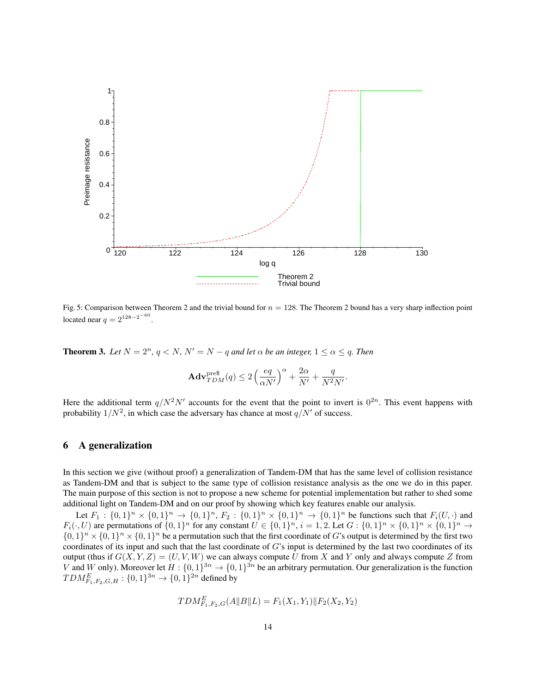

Fig. 5: Comparison between Theorem 2 and the trivial bound for *n* = 128. The Theorem 2 bound has a very sharp inflection point located near  $q = 2^{128-2^{-60}}$ .

**Theorem 3.** Let  $N = 2^n$ ,  $q < N$ ,  $N' = N - q$  and let  $\alpha$  be an integer,  $1 \leq \alpha \leq q$ . Then

$$
\mathbf{Adv}_{TDM}^{\mathrm{pre\$}}(q) \le 2\left(\frac{eq}{\alpha N'}\right)^{\alpha} + \frac{2\alpha}{N'} + \frac{q}{N^2N'}.
$$

Here the additional term  $q/N^2N'$  accounts for the event that the point to invert is  $0^{2n}$ . This event happens with probability  $1/N^2$ , in which case the adversary has chance at most  $q/N'$  of success.

#### 6 A generalization

In this section we give (without proof) a generalization of Tandem-DM that has the same level of collision resistance as Tandem-DM and that is subject to the same type of collision resistance analysis as the one we do in this paper. The main purpose of this section is not to propose a new scheme for potential implementation but rather to shed some additional light on Tandem-DM and on our proof by showing which key features enable our analysis.

Let  $F_1: \{0,1\}^n \times \{0,1\}^n \to \{0,1\}^n$ ,  $F_2: \{0,1\}^n \times \{0,1\}^n \to \{0,1\}^n$  be functions such that  $F_i(U, \cdot)$  and  $F_i(\cdot, U)$  are permutations of  $\{0,1\}^n$  for any constant  $U \in \{0,1\}^n$ ,  $i = 1,2$ . Let  $G : \{0,1\}^n \times \{0,1\}^n \times \{0,1\}^n \to$  $\{0,1\}^n \times \{0,1\}^n \times \{0,1\}^n$  be a permutation such that the first coordinate of *G*'s output is determined by the first two coordinates of its input and such that the last coordinate of *G*'s input is determined by the last two coordinates of its output (thus if  $G(X, Y, Z) = (U, V, W)$  we can always compute *U* from *X* and *Y* only and always compute *Z* from *V* and *W* only). Moreover let  $H: \{0,1\}^{3n} \to \{0,1\}^{3n}$  be an arbitrary permutation. Our generalization is the function  $TDM_{F_1, F_2, G, H}^E: \{0, 1\}^{3n} \rightarrow \{0, 1\}^{2n}$  defined by

$$
TDM_{F_1, F_2, G}^E(A||B||L) = F_1(X_1, Y_1)||F_2(X_2, Y_2)
$$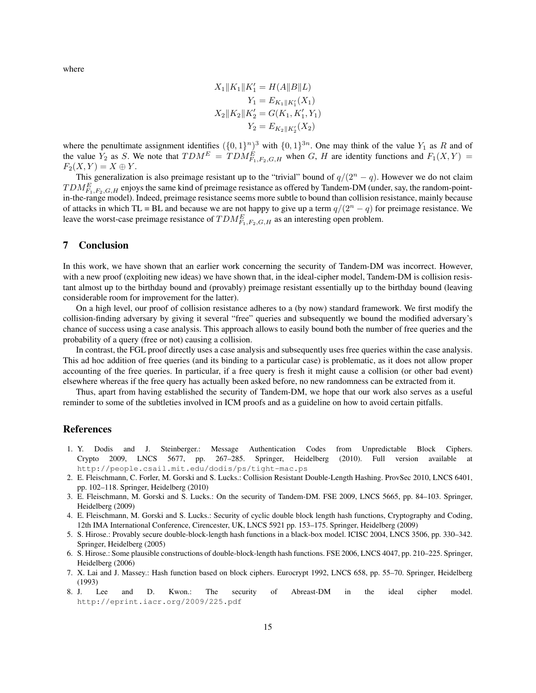where

$$
X_1 || K_1 || K_1' = H(A || B || L)
$$
  
\n
$$
Y_1 = E_{K_1 || K_1'}(X_1)
$$
  
\n
$$
X_2 || K_2 || K_2' = G(K_1, K_1', Y_1)
$$
  
\n
$$
Y_2 = E_{K_2 || K_2'}(X_2)
$$

where the penultimate assignment identifies  $({0,1})^n$ <sup>3</sup> with  ${0,1}^{3n}$ . One may think of the value  $Y_1$  as  $R$  and of the value  $Y_2$  as *S*. We note that  $TDM^E = TDM^E_{F_1, F_2, G, H}$  when *G*, *H* are identity functions and  $F_1(X, Y) =$  $F_2(X, Y) = X \oplus Y$ .

This generalization is also preimage resistant up to the "trivial" bound of  $q/(2^n - q)$ . However we do not claim  $TDM_{F_1,F_2,G,H}^E$  enjoys the same kind of preimage resistance as offered by Tandem-DM (under, say, the random-pointin-the-range model). Indeed, preimage resistance seems more subtle to bound than collision resistance, mainly because of attacks in which TL = BL and because we are not happy to give up a term  $q/(2^n - q)$  for preimage resistance. We leave the worst-case preimage resistance of  $TDM_{F_1,F_2,G,H}^E$  as an interesting open problem.

## 7 Conclusion

In this work, we have shown that an earlier work concerning the security of Tandem-DM was incorrect. However, with a new proof (exploiting new ideas) we have shown that, in the ideal-cipher model, Tandem-DM is collision resistant almost up to the birthday bound and (provably) preimage resistant essentially up to the birthday bound (leaving considerable room for improvement for the latter).

On a high level, our proof of collision resistance adheres to a (by now) standard framework. We first modify the collision-finding adversary by giving it several "free" queries and subsequently we bound the modified adversary's chance of success using a case analysis. This approach allows to easily bound both the number of free queries and the probability of a query (free or not) causing a collision.

In contrast, the FGL proof directly uses a case analysis and subsequently uses free queries within the case analysis. This ad hoc addition of free queries (and its binding to a particular case) is problematic, as it does not allow proper accounting of the free queries. In particular, if a free query is fresh it might cause a collision (or other bad event) elsewhere whereas if the free query has actually been asked before, no new randomness can be extracted from it.

Thus, apart from having established the security of Tandem-DM, we hope that our work also serves as a useful reminder to some of the subtleties involved in ICM proofs and as a guideline on how to avoid certain pitfalls.

#### References

- 1. Y. Dodis and J. Steinberger.: Message Authentication Codes from Unpredictable Block Ciphers. Crypto 2009, LNCS 5677, pp. 267–285. Springer, Heidelberg (2010). Full version available at http://people.csail.mit.edu/dodis/ps/tight-mac.ps
- 2. E. Fleischmann, C. Forler, M. Gorski and S. Lucks.: Collision Resistant Double-Length Hashing. ProvSec 2010, LNCS 6401, pp. 102–118. Springer, Heidelberg (2010)
- 3. E. Fleischmann, M. Gorski and S. Lucks.: On the security of Tandem-DM. FSE 2009, LNCS 5665, pp. 84–103. Springer, Heidelberg (2009)
- 4. E. Fleischmann, M. Gorski and S. Lucks.: Security of cyclic double block length hash functions, Cryptography and Coding, 12th IMA International Conference, Cirencester, UK, LNCS 5921 pp. 153–175. Springer, Heidelberg (2009)
- 5. S. Hirose.: Provably secure double-block-length hash functions in a black-box model. ICISC 2004, LNCS 3506, pp. 330–342. Springer, Heidelberg (2005)
- 6. S. Hirose.: Some plausible constructions of double-block-length hash functions. FSE 2006, LNCS 4047, pp. 210–225. Springer, Heidelberg (2006)
- 7. X. Lai and J. Massey.: Hash function based on block ciphers. Eurocrypt 1992, LNCS 658, pp. 55–70. Springer, Heidelberg (1993)
- 8. J. Lee and D. Kwon.: The security of Abreast-DM in the ideal cipher model. http://eprint.iacr.org/2009/225.pdf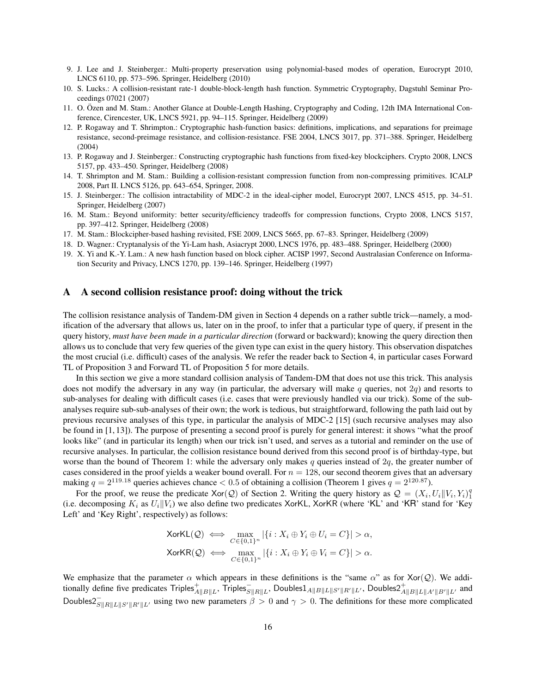- 9. J. Lee and J. Steinberger.: Multi-property preservation using polynomial-based modes of operation, Eurocrypt 2010, LNCS 6110, pp. 573–596. Springer, Heidelberg (2010)
- 10. S. Lucks.: A collision-resistant rate-1 double-block-length hash function. Symmetric Cryptography, Dagstuhl Seminar Proceedings 07021 (2007)
- 11. O. Ozen and M. Stam.: Another Glance at Double-Length Hashing, Cryptography and Coding, 12th IMA International Con- ¨ ference, Cirencester, UK, LNCS 5921, pp. 94–115. Springer, Heidelberg (2009)
- 12. P. Rogaway and T. Shrimpton.: Cryptographic hash-function basics: definitions, implications, and separations for preimage resistance, second-preimage resistance, and collision-resistance. FSE 2004, LNCS 3017, pp. 371–388. Springer, Heidelberg (2004)
- 13. P. Rogaway and J. Steinberger.: Constructing cryptographic hash functions from fixed-key blockciphers. Crypto 2008, LNCS 5157, pp. 433–450. Springer, Heidelberg (2008)
- 14. T. Shrimpton and M. Stam.: Building a collision-resistant compression function from non-compressing primitives. ICALP 2008, Part II. LNCS 5126, pp. 643–654, Springer, 2008.
- 15. J. Steinberger.: The collision intractability of MDC-2 in the ideal-cipher model, Eurocrypt 2007, LNCS 4515, pp. 34–51. Springer, Heidelberg (2007)
- 16. M. Stam.: Beyond uniformity: better security/efficiency tradeoffs for compression functions, Crypto 2008, LNCS 5157, pp. 397–412. Springer, Heidelberg (2008)
- 17. M. Stam.: Blockcipher-based hashing revisited, FSE 2009, LNCS 5665, pp. 67–83. Springer, Heidelberg (2009)
- 18. D. Wagner.: Cryptanalysis of the Yi-Lam hash, Asiacrypt 2000, LNCS 1976, pp. 483–488. Springer, Heidelberg (2000)
- 19. X. Yi and K.-Y. Lam.: A new hash function based on block cipher. ACISP 1997, Second Australasian Conference on Information Security and Privacy, LNCS 1270, pp. 139–146. Springer, Heidelberg (1997)

### A A second collision resistance proof: doing without the trick

The collision resistance analysis of Tandem-DM given in Section 4 depends on a rather subtle trick—namely, a modification of the adversary that allows us, later on in the proof, to infer that a particular type of query, if present in the query history, *must have been made in a particular direction* (forward or backward); knowing the query direction then allows us to conclude that very few queries of the given type can exist in the query history. This observation dispatches the most crucial (i.e. difficult) cases of the analysis. We refer the reader back to Section 4, in particular cases Forward TL of Proposition 3 and Forward TL of Proposition 5 for more details.

In this section we give a more standard collision analysis of Tandem-DM that does not use this trick. This analysis does not modify the adversary in any way (in particular, the adversary will make *q* queries, not 2*q*) and resorts to sub-analyses for dealing with difficult cases (i.e. cases that were previously handled via our trick). Some of the subanalyses require sub-sub-analyses of their own; the work is tedious, but straightforward, following the path laid out by previous recursive analyses of this type, in particular the analysis of MDC-2 [15] (such recursive analyses may also be found in [1, 13]). The purpose of presenting a second proof is purely for general interest: it shows "what the proof looks like" (and in particular its length) when our trick isn't used, and serves as a tutorial and reminder on the use of recursive analyses. In particular, the collision resistance bound derived from this second proof is of birthday-type, but worse than the bound of Theorem 1: while the adversary only makes *q* queries instead of 2*q*, the greater number of cases considered in the proof yields a weaker bound overall. For  $n = 128$ , our second theorem gives that an adversary making  $q = 2^{119.18}$  queries achieves chance  $< 0.5$  of obtaining a collision (Theorem 1 gives  $q = 2^{120.87}$ ).

For the proof, we reuse the predicate  $\text{Xor}(\mathcal{Q})$  of Section 2. Writing the query history as  $\mathcal{Q} = (X_i, U_i || V_i, Y_i)_1^q$ (i.e. decomposing  $K_i$  as  $U_i||V_i$ ) we also define two predicates XorKL, XorKR (where 'KL' and 'KR' stand for 'Key Left' and 'Key Right', respectively) as follows:

$$
\begin{aligned}\n\text{XorKL}(\mathcal{Q}) &\iff \max_{C \in \{0,1\}^n} |\{i : X_i \oplus Y_i \oplus U_i = C\}| > \alpha, \\
\text{XorKR}(\mathcal{Q}) &\iff \max_{C \in \{0,1\}^n} |\{i : X_i \oplus Y_i \oplus V_i = C\}| > \alpha.\n\end{aligned}
$$

We emphasize that the parameter  $\alpha$  which appears in these definitions is the "same  $\alpha$ " as for Xor( $Q$ ). We additionally define five predicates  $\text{Triples}_{A||B||L}^+$ ,  $\text{Triples}_{S||R||L}^-$ ,  $\text{Doubles1}_{A||B||L||S'||R'||L'}$ ,  $\text{Doubles2}_{A||B||L||A'||B'||L'}^+$  and Doubles  $2\frac{1}{S\|R\|L\|S'\|R'\|L'}$  using two new parameters  $\beta > 0$  and  $\gamma > 0$ . The definitions for these more complicated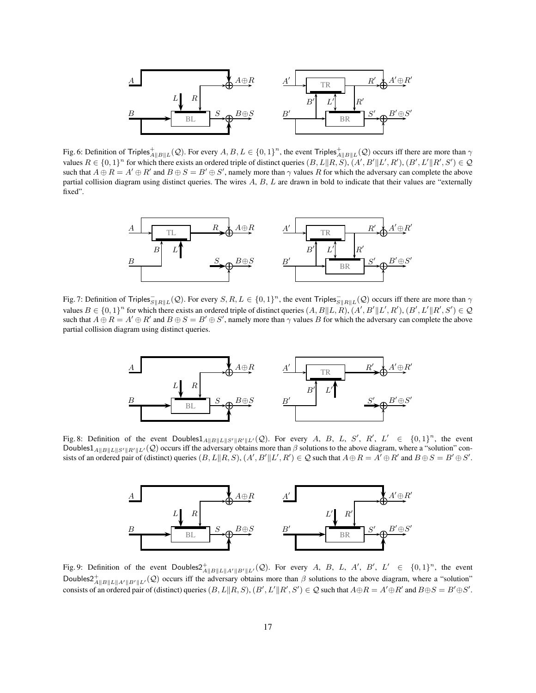

Fig. 6: Definition of Triples $^+_{A||B||L}(\mathcal{Q})$ . For every  $A, B, L \in \{0,1\}^n$ , the event Triples $^+_{A||B||L}(\mathcal{Q})$  occurs iff there are more than  $\gamma$ values  $R \in \{0,1\}^n$  for which there exists an ordered triple of distinct queries  $(B, L \| R, S)$ ,  $(A', B' \| L', R')$ ,  $(B', L' \| R', S') \in \mathcal{Q}$ such that  $A \oplus R = A' \oplus R'$  and  $B \oplus S = B' \oplus S'$ , namely more than  $\gamma$  values R for which the adversary can complete the above partial collision diagram using distinct queries. The wires *A*, *B*, *L* are drawn in bold to indicate that their values are "externally fixed".



Fig. 7: Definition of Triples  $\frac{1}{S\|R\|L}(\mathcal{Q})$ . For every  $S, R, L \in \{0, 1\}^n$ , the event Triples  $\frac{1}{S\|R\|L}(\mathcal{Q})$  occurs iff there are more than  $\gamma$ values  $B \in \{0,1\}^n$  for which there exists an ordered triple of distinct queries  $(A, B||L, R)$ ,  $(A', B'||L', R')$ ,  $(B', L'||R', S') \in \mathcal{Q}$ such that  $A \oplus R = A' \oplus R'$  and  $B \oplus S = B' \oplus S'$ , namely more than  $\gamma$  values B for which the adversary can complete the above partial collision diagram using distinct queries.



Fig. 8: Definition of the event Doubles  $\mathbb{1}_{A||B||L||S'||R'||L'}(Q)$ . For every A, B, L, S', R', L'  $\in \{0,1\}^n$ , the event Doubles  $1_{A||B||L||S'||R'||L'}(Q)$  occurs iff the adversary obtains more than  $\beta$  solutions to the above diagram, where a "solution" consists of an ordered pair of (distinct) queries  $(B, L \| R, S)$ ,  $(A', B' \| L', R') \in \mathcal{Q}$  such that  $A \oplus R = A' \oplus R'$  and  $B \oplus S = B' \oplus S'$ .



Fig. 9: Definition of the event Doubles  $2_{A||B||L||A'||B'||L'}^+(Q)$ . For every A, B, L, A', B', L'  $\in \{0,1\}^n$ , the event Doubles  $2_{A||B||L||A'||B'||L'}^{\dagger}(Q)$  occurs iff the adversary obtains more than  $\beta$  solutions to the above diagram, where a "solution" consists of an ordered pair of (distinct) queries  $(B, L \| R, S)$ ,  $(B', L' \| R', S') \in \mathcal{Q}$  such that  $A \oplus R = A' \oplus R'$  and  $B \oplus S = B' \oplus S'$ .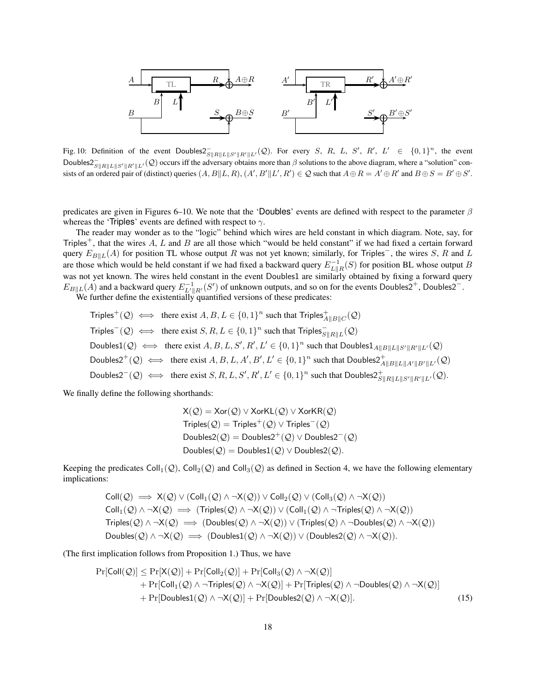

Fig. 10: Definition of the event Doubles  $2_{S\|R\|L\|S'\|R'\|L'}(\mathcal{Q})$ . For every S, R, L, S', R', L'  $\in \{0,1\}^n$ , the event Doubles  $2_{S\|R\|L\|S'\|R'\|L'}(Q)$  occurs iff the adversary obtains more than  $\beta$  solutions to the above diagram, where a "solution" consists of an ordered pair of (distinct) queries  $(A, B||L, R), (A', B'||L', R') \in \mathcal{Q}$  such that  $A \oplus R = A' \oplus R'$  and  $B \oplus S = B' \oplus S'$ .

predicates are given in Figures 6–10. We note that the 'Doubles' events are defined with respect to the parameter *β* whereas the 'Triples' events are defined with respect to *γ*.

The reader may wonder as to the "logic" behind which wires are held constant in which diagram. Note, say, for Triples<sup>+</sup>, that the wires A, L and B are all those which "would be held constant" if we had fixed a certain forward query *E<sup>B</sup>∥<sup>L</sup>*(*A*) for position TL whose output *R* was not yet known; similarly, for Triples*<sup>−</sup>*, the wires *S*, *R* and *L* are those which would be held constant if we had fixed a backward query  $E^{-1}_{L||R}(S)$  for position BL whose output *B* was not yet known. The wires held constant in the event Doubles1 are similarly obtained by fixing a forward query  $E_{B||L}(A)$  and a backward query  $E_{L'||R'}^{-1}(S')$  of unknown outputs, and so on for the events Doubles2<sup>+</sup>, Doubles2<sup>-</sup>.

We further define the existentially quantified versions of these predicates:

\n
$$
\text{Triples}^+(\mathcal{Q}) \iff \text{there exist } A, B, L \in \{0, 1\}^n \text{ such that Triples}_{A||B||C}^+(\mathcal{Q})
$$
\n

\n\n $\text{Triples}^-(\mathcal{Q}) \iff \text{there exist } S, R, L \in \{0, 1\}^n \text{ such that Triples}_{B||R||L}^-(\mathcal{Q})$ \n

\n\n $\text{Doubles1}(\mathcal{Q}) \iff \text{there exist } A, B, L, S', R', L' \in \{0, 1\}^n \text{ such that Doubles1}_{A||B||L||S'||R'||L'}^-(\mathcal{Q})$ \n

\n\n $\text{Doubles2}^+(\mathcal{Q}) \iff \text{there exist } A, B, L, A', B', L' \in \{0, 1\}^n \text{ such that Doubles2}_{A||B||L||A'||B'||L'}^+(\mathcal{Q})$ \n

\n\n $\text{Doubles2}^-(\mathcal{Q}) \iff \text{there exist } S, R, L, S', R', L' \in \{0, 1\}^n \text{ such that Doubles2}_{S||R||L||S'||R'||L'}^+(\mathcal{Q})$ \n

We finally define the following shorthands:

$$
X(Q) = Xor(Q) \lor XorKL(Q) \lor XorKR(Q)
$$
  
Triples(Q) = Triples<sup>+</sup>(Q)  $\lor$  Triples<sup>-</sup>(Q)  
Doubles2(Q) = Doubles2<sup>+</sup>(Q)  $\lor$  Doubles2<sup>-</sup>(Q)  
Doubles(Q) = Doubles1(Q)  $\lor$  Doubles2(Q).

Keeping the predicates  $Coll_1(\mathcal{Q})$ ,  $Coll_2(\mathcal{Q})$  and  $Coll_3(\mathcal{Q})$  as defined in Section 4, we have the following elementary implications:

$$
\text{Coll}(Q) \implies X(Q) \lor (\text{Coll}_1(Q) \land \neg X(Q)) \lor \text{Coll}_2(Q) \lor (\text{Coll}_3(Q) \land \neg X(Q))
$$
  
\n
$$
\text{Coll}_1(Q) \land \neg X(Q) \implies (\text{Triples}(Q) \land \neg X(Q)) \lor (\text{Coll}_1(Q) \land \neg \text{Triples}(Q) \land \neg X(Q))
$$
  
\n
$$
\text{Triples}(Q) \land \neg X(Q) \implies (\text{Doubles}(Q) \land \neg X(Q)) \lor (\text{Triples}(Q) \land \neg \text{Doubles}(Q) \land \neg X(Q))
$$
  
\n
$$
\text{Doubles}(Q) \land \neg X(Q) \implies (\text{Doubles1}(Q) \land \neg X(Q)) \lor (\text{Doubles2}(Q) \land \neg X(Q)).
$$

(The first implication follows from Proposition 1.) Thus, we have

$$
\Pr[\text{Coll}(\mathcal{Q})] \le \Pr[X(\mathcal{Q})] + \Pr[\text{Coll}_2(\mathcal{Q})] + \Pr[\text{Coll}_3(\mathcal{Q}) \land \neg X(\mathcal{Q})] \\
+ \Pr[\text{Coll}_1(\mathcal{Q}) \land \neg \text{Triples}(\mathcal{Q}) \land \neg X(\mathcal{Q})] + \Pr[\text{Triples}(\mathcal{Q}) \land \neg \text{Doubles}(\mathcal{Q}) \land \neg X(\mathcal{Q})] \\
+ \Pr[\text{Doubles1}(\mathcal{Q}) \land \neg X(\mathcal{Q})] + \Pr[\text{Doubles2}(\mathcal{Q}) \land \neg X(\mathcal{Q})].\n\tag{15}
$$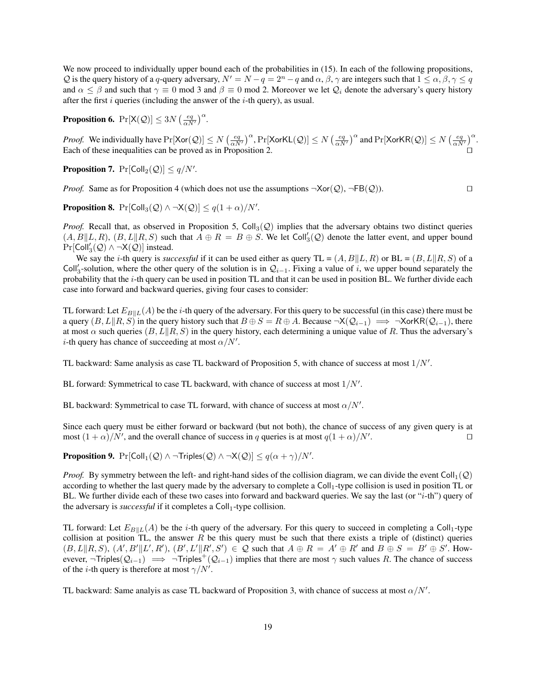We now proceed to individually upper bound each of the probabilities in (15). In each of the following propositions, Q is the query history of a q-query adversary,  $N' = N - q = 2<sup>n</sup> - q$  and  $\alpha, \beta, \gamma$  are integers such that  $1 \leq \alpha, \beta, \gamma \leq q$ and  $\alpha \leq \beta$  and such that  $\gamma \equiv 0$  mod 3 and  $\beta \equiv 0$  mod 2. Moreover we let  $\mathcal{Q}_i$  denote the adversary's query history after the first *i* queries (including the answer of the *i*-th query), as usual.

**Proposition 6.**  $Pr[X(Q)] \leq 3N \left(\frac{eq}{\alpha N'}\right)^{\alpha}$ .

*Proof.* We individually have  $Pr[Xor(Q)] \le N \left(\frac{eq}{\alpha N'}\right)^{\alpha}$ ,  $Pr[XorKL(Q)] \le N \left(\frac{eq}{\alpha N'}\right)^{\alpha}$  and  $Pr[XorKR(Q)] \le N \left(\frac{eq}{\alpha N'}\right)^{\alpha}$ . Each of these inequalities can be proved as in Proposition 2. *⊓⊔*

**Proposition 7.**  $Pr[Coll_2(Q)] \leq q/N'$ .

*Proof.* Same as for Proposition 4 (which does not use the assumptions *¬*Xor(*Q*), *¬*FB(*Q*)). *⊓⊔*

**Proposition 8.**  $Pr[Coll_3(Q) \land \neg X(Q)] \le q(1+\alpha)/N'$ .

*Proof.* Recall that, as observed in Proposition 5, Coll<sub>3</sub>( $Q$ ) implies that the adversary obtains two distinct queries  $(A, B||L, R)$ ,  $(B, L||R, S)$  such that  $A \oplus R = B \oplus S$ . We let Coll<sup>'</sup> $_3(\mathcal{Q})$  denote the latter event, and upper bound  $Pr[Coll'_3(\mathcal{Q}) \wedge \neg X(\mathcal{Q})]$  instead.

We say the *i*-th query is *successful* if it can be used either as query  $TL = (A, B||L, R)$  or  $BL = (B, L||R, S)$  of a Coll<sup>'</sup><sub>3</sub>-solution, where the other query of the solution is in  $\mathcal{Q}_{i-1}$ . Fixing a value of *i*, we upper bound separately the probability that the *i*-th query can be used in position TL and that it can be used in position BL. We further divide each case into forward and backward queries, giving four cases to consider:

TL forward: Let *E<sup>B</sup>∥<sup>L</sup>*(*A*) be the *i*-th query of the adversary. For this query to be successful (in this case) there must be a query  $(B, L | R, S)$  in the query history such that  $B \oplus S = R \oplus A$ . Because  $\neg X(Q_{i-1}) \implies \neg \text{XorKR}(Q_{i-1})$ , there at most  $\alpha$  such queries  $(B, L \| R, S)$  in the query history, each determining a unique value of *R*. Thus the adversary's *i*-th query has chance of succeeding at most *α/N′* .

TL backward: Same analysis as case TL backward of Proposition 5, with chance of success at most 1*/N′* .

BL forward: Symmetrical to case TL backward, with chance of success at most 1*/N′* .

BL backward: Symmetrical to case TL forward, with chance of success at most  $\alpha/N'$ .

Since each query must be either forward or backward (but not both), the chance of success of any given query is at most  $(1 + \alpha)/N'$ , and the overall chance of success in *q* queries is at most  $q(1 + \alpha)/N'$ . *⊓⊔*

**Proposition 9.**  $Pr[Coll_1(\mathcal{Q}) \wedge \neg Triples(\mathcal{Q}) \wedge \neg X(\mathcal{Q})] \le q(\alpha + \gamma)/N'$ .

*Proof.* By symmetry between the left- and right-hand sides of the collision diagram, we can divide the event  $Coll_1(Q)$ according to whether the last query made by the adversary to complete a  $Coll_1$ -type collision is used in position TL or BL. We further divide each of these two cases into forward and backward queries. We say the last (or "*i*-th") query of the adversary is *successful* if it completes a Coll<sub>1</sub>-type collision.

TL forward: Let  $E_{B||L}(A)$  be the *i*-th query of the adversary. For this query to succeed in completing a Coll<sub>1</sub>-type collision at position TL, the answer *R* be this query must be such that there exists a triple of (distinct) queries  $(B, L||R, S), (A', B'||L', R'), (B', L'||R', S') \in \mathcal{Q}$  such that  $A \oplus R = A' \oplus R'$  and  $B \oplus S = B' \oplus S'$ . Howevever,  $\neg$ Triples( $Q_{i-1}$ )  $\implies \neg$ Triples<sup>+</sup>( $Q_{i-1}$ ) implies that there are most  $\gamma$  such values *R*. The chance of success of the *i*-th query is therefore at most  $\gamma/N'$ .

TL backward: Same analyis as case TL backward of Proposition 3, with chance of success at most *α/N′* .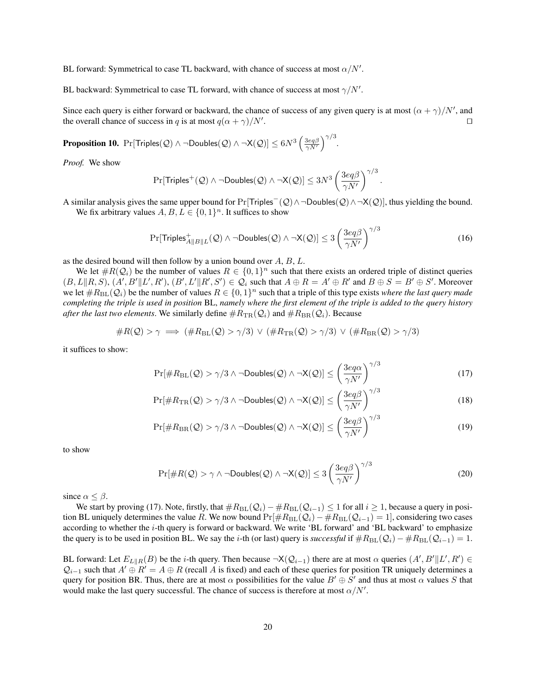BL forward: Symmetrical to case TL backward, with chance of success at most  $\alpha/N'$ .

BL backward: Symmetrical to case TL forward, with chance of success at most *γ/N′* .

Since each query is either forward or backward, the chance of success of any given query is at most  $(\alpha + \gamma)/N'$ , and the overall chance of success in *q* is at most  $q(\alpha + \gamma)/N'$ . . *⊓⊔*

**Proposition 10.**  $Pr[\text{Triples}(\mathcal{Q}) \land \neg \text{Doubles}(\mathcal{Q}) \land \neg \text{X}(\mathcal{Q})] \leq 6N^3 \left( \frac{3eq\beta}{\gamma N'} \right)$  $\int^{\gamma/3}$ .

*Proof.* We show

$$
\Pr[\mathsf{Triples}^{+}(\mathcal{Q}) \wedge \neg \mathsf{Doubles}(\mathcal{Q}) \wedge \neg \mathsf{X}(\mathcal{Q})] \leq 3N^3 \left(\frac{3eq\beta}{\gamma N'}\right)^{\gamma/3}
$$

A similar analysis gives the same upper bound for Pr[Triples*<sup>−</sup>*(*Q*)*∧¬*Doubles(*Q*)*∧¬*X(*Q*)], thus yielding the bound. We fix arbitrary values  $A, B, L \in \{0, 1\}^n$ . It suffices to show

$$
\Pr[\mathsf{Triples}_{A||B||L}^{+}(\mathcal{Q}) \wedge \neg \mathsf{Doubles}(\mathcal{Q}) \wedge \neg \mathsf{X}(\mathcal{Q})] \le 3 \left(\frac{3eq\beta}{\gamma N'}\right)^{\gamma/3} \tag{16}
$$

*.*

as the desired bound will then follow by a union bound over *A*, *B*, *L*.

We let  $#R(Q_i)$  be the number of values  $R \in \{0,1\}^n$  such that there exists an ordered triple of distinct queries  $(B, L||R, S), (A', B'||L', R'), (B', L'||R', S') \in \mathcal{Q}_i$  such that  $A \oplus R = A' \oplus R'$  and  $B \oplus S = B' \oplus S'$ . Moreover we let  $\#R_{BL}(\mathcal{Q}_i)$  be the number of values  $R \in \{0,1\}^n$  such that a triple of this type exists *where the last query made completing the triple is used in position* BL, *namely where the first element of the triple is added to the query history after the last two elements.* We similarly define  $\#R_{TR}(\mathcal{Q}_i)$  and  $\#R_{BR}(\mathcal{Q}_i)$ . Because

$$
\#R(\mathcal{Q}) > \gamma \implies (\#R_{\text{BL}}(\mathcal{Q}) > \gamma/3) \lor (\#R_{\text{TR}}(\mathcal{Q}) > \gamma/3) \lor (\#R_{\text{BR}}(\mathcal{Q}) > \gamma/3)
$$

it suffices to show:

$$
\Pr[\#R_{\text{BL}}(\mathcal{Q}) > \gamma/3 \land \neg \text{Doubles}(\mathcal{Q}) \land \neg X(\mathcal{Q})] \le \left(\frac{3eq\alpha}{\gamma N'}\right)^{\gamma/3} \tag{17}
$$

$$
\Pr[\#R_{\text{TR}}(\mathcal{Q}) > \gamma/3 \land \neg \text{Doubles}(\mathcal{Q}) \land \neg \mathsf{X}(\mathcal{Q})] \le \left(\frac{3eq\beta}{\gamma N'}\right)^{\gamma/3} \tag{18}
$$

$$
\Pr[\#R_{\text{BR}}(\mathcal{Q}) > \gamma/3 \land \neg \text{Doubles}(\mathcal{Q}) \land \neg X(\mathcal{Q})] \le \left(\frac{3eq\beta}{\gamma N'}\right)^{\gamma/3} \tag{19}
$$

to show

$$
\Pr[\#R(\mathcal{Q}) > \gamma \land \neg \text{Doubles}(\mathcal{Q}) \land \neg \mathsf{X}(\mathcal{Q})] \le 3 \left(\frac{3eq\beta}{\gamma N'}\right)^{\gamma/3} \tag{20}
$$

since  $\alpha \leq \beta$ .

We start by proving (17). Note, firstly, that  $#R_{BL}(Q_i) - #R_{BL}(Q_{i-1}) \leq 1$  for all  $i \geq 1$ , because a query in position BL uniquely determines the value R. We now bound  $Pr[\#R_{\text{BL}}(Q_i) - \#R_{\text{BL}}(Q_{i-1})] = 1]$ , considering two cases according to whether the *i*-th query is forward or backward. We write 'BL forward' and 'BL backward' to emphasize the query is to be used in position BL. We say the *i*-th (or last) query is *successful* if  $\#R_{\text{BL}}(\mathcal{Q}_i) - \#R_{\text{BL}}(\mathcal{Q}_{i-1}) = 1$ .

BL forward: Let  $E_{L||R}(B)$  be the *i*-th query. Then because  $\neg X(\mathcal{Q}_{i-1})$  there are at most  $\alpha$  queries  $(A', B'||L', R') \in$  $Q_{i-1}$  such that  $A' \oplus R' = A \oplus R$  (recall *A* is fixed) and each of these queries for position TR uniquely determines a query for position BR. Thus, there are at most  $\alpha$  possibilities for the value  $B' \oplus S'$  and thus at most  $\alpha$  values  $S$  that would make the last query successful. The chance of success is therefore at most  $\alpha/N'$ .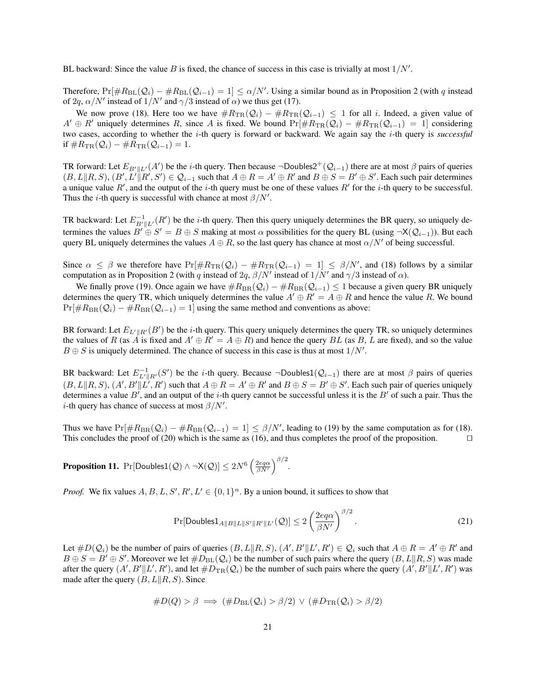BL backward: Since the value *B* is fixed, the chance of success in this case is trivially at most 1*/N′* .

Therefore,  $Pr[\#R_{BL}(Q_i) - \#R_{BL}(Q_{i-1}) = 1] \le \alpha/N'$ . Using a similar bound as in Proposition 2 (with *q* instead of 2q,  $\alpha/N'$  instead of  $1/N'$  and  $\gamma/3$  instead of  $\alpha$ ) we thus get (17).

We now prove (18). Here too we have  $\#R_{\text{TR}}(Q_i) - \#R_{\text{TR}}(Q_{i-1}) \leq 1$  for all *i*. Indeed, a given value of *A*<sup>*′*</sup>  $\oplus$  *R*<sup>*′*</sup> uniquely determines *R*, since *A* is fixed. We bound Pr[# $R_{TR}(Q_i) - #R_{TR}(Q_{i-1}) = 1$ ] considering two cases, according to whether the *i*-th query is forward or backward. We again say the *i*-th query is *successful* if  $#R_{TR}(Q_i) - #R_{TR}(Q_{i-1}) = 1.$ 

TR forward: Let  $E_{B'|L'}(A')$  be the *i*-th query. Then because  $\neg$ Doubles2<sup>+</sup>( $\mathcal{Q}_{i-1}$ ) there are at most  $\beta$  pairs of queries  $(B, L||R, S), (B', L'||R', S') \in \mathcal{Q}_{i-1}$  such that  $A \oplus R = A' \oplus R'$  and  $B \oplus S = B' \oplus S'$ . Each such pair determines a unique value *R′* , and the output of the *i*-th query must be one of these values *R′* for the *i*-th query to be successful. Thus the *i*-th query is successful with chance at most *β/N′* .

TR backward: Let  $E_{B'|L'}^{-1}(R')$  be the *i*-th query. Then this query uniquely determines the BR query, so uniquely determines the values  $B' \oplus S' = B \oplus S$  making at most  $\alpha$  possibilities for the query BL (using  $\neg X(\mathcal{Q}_{i-1})$ ). But each query BL uniquely determines the values  $A \oplus R$ , so the last query has chance at most  $\alpha/N'$  of being successful.

Since  $\alpha \le \beta$  we therefore have  $\Pr[\#R_{\text{TR}}(\mathcal{Q}_i) - \#R_{\text{TR}}(\mathcal{Q}_{i-1}) = 1] \le \beta/N'$ , and (18) follows by a similar computation as in Proposition 2 (with *q* instead of 2*q*,  $\beta/N'$  instead of  $1/N'$  and  $\gamma/3$  instead of  $\alpha$ ).

We finally prove (19). Once again we have  $#R_{BR}(Q_i) - #R_{BR}(Q_{i-1}) \leq 1$  because a given query BR uniquely determines the query TR, which uniquely determines the value  $A' \oplus R' = A \oplus R$  and hence the value R. We bound  $Pr[\#R_{BR}(\mathcal{Q}_i) - \#R_{BR}(\mathcal{Q}_{i-1})] = 1$  using the same method and conventions as above:

BR forward: Let *E<sup>L</sup>′∥R′* (*B′* ) be the *i*-th query. This query uniquely determines the query TR, so uniquely determines the values of *R* (as *A* is fixed and  $A' \oplus R' = A \oplus R$ ) and hence the query *BL* (as *B*, *L* are fixed), and so the value  $B \oplus S$  is uniquely determined. The chance of success in this case is thus at most  $1/N'$ .

BR backward: Let  $E^{-1}_{L'||R'}(S')$  be the *i*-th query. Because  $\neg$ Doubles1( $Q_{i-1}$ ) there are at most  $\beta$  pairs of queries  $(B, L||R, S), (A', B'||L', R')$  such that  $A \oplus R = A' \oplus R'$  and  $B \oplus S = B' \oplus S'$ . Each such pair of queries uniquely determines a value *B′* , and an output of the *i*-th query cannot be successful unless it is the *B′* of such a pair. Thus the *i*-th query has chance of success at most *β/N′* .

Thus we have  $Pr[\#R_{BR}(Q_i) - \#R_{BR}(Q_{i-1}) = 1] \le \beta/N'$ , leading to (19) by the same computation as for (18). This concludes the proof of (20) which is the same as (16), and thus completes the proof of the proposition. *⊓⊔*

**Proposition 11.**  $Pr[$ Doubles1(*Q*)  $\land \neg X(Q)] \leq 2N^6 \left(\frac{2eq\alpha}{\beta N'}\right)$  $\int_{0}^{\beta/2}$ .

*Proof.* We fix values  $A, B, L, S', R', L' \in \{0, 1\}^n$ . By a union bound, it suffices to show that

$$
\Pr[\text{Doubles1}_{A||B||L||S'||R'||L'}(\mathcal{Q})] \le 2\left(\frac{2eq\alpha}{\beta N'}\right)^{\beta/2}.\tag{21}
$$

Let  $\#D(\mathcal{Q}_i)$  be the number of pairs of queries  $(B, L \| R, S)$ ,  $(A', B' \| L', R') \in \mathcal{Q}_i$  such that  $A \oplus R = A' \oplus R'$  and  $B \oplus S = B' \oplus S'$ . Moreover we let  $#D_{BL}(Q_i)$  be the number of such pairs where the query  $(B, L \| R, S)$  was made after the query  $(A',B'\|L',R')$ , and let  $\#D_{\text{TR}}(\mathcal{Q}_i)$  be the number of such pairs where the query  $(A',B'\|L',R')$  was made after the query (*B, L∥R, S*). Since

$$
\#D(Q) > \beta \implies (\#D_{\text{BL}}(Q_i) > \beta/2) \lor (\#D_{\text{TR}}(Q_i) > \beta/2)
$$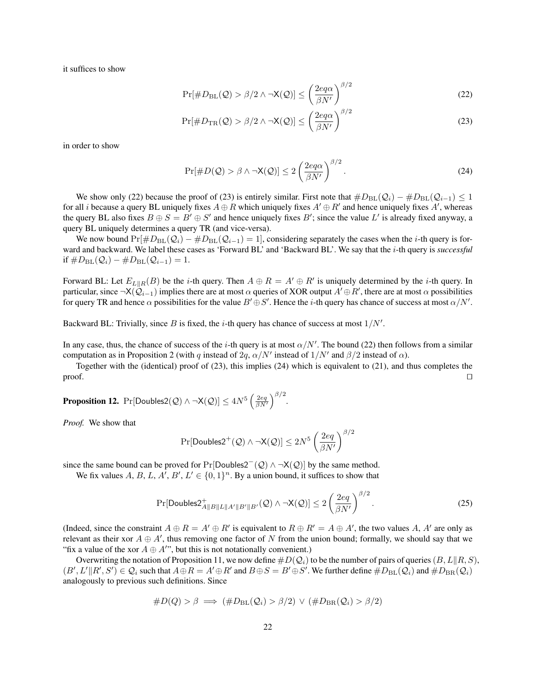it suffices to show

$$
\Pr[\#D_{\text{BL}}(\mathcal{Q}) > \beta/2 \land \neg \mathsf{X}(\mathcal{Q})] \le \left(\frac{2eq\alpha}{\beta N'}\right)^{\beta/2} \tag{22}
$$

$$
\Pr[\#D_{\text{TR}}(\mathcal{Q}) > \beta/2 \land \neg \mathsf{X}(\mathcal{Q})] \le \left(\frac{2eq\alpha}{\beta N'}\right)^{\beta/2} \tag{23}
$$

in order to show

$$
\Pr[\#D(\mathcal{Q}) > \beta \land \neg \mathsf{X}(\mathcal{Q})] \le 2 \left(\frac{2eq\alpha}{\beta N'}\right)^{\beta/2}.\tag{24}
$$

We show only (22) because the proof of (23) is entirely similar. First note that  $\#D_{BL}(Q_i) - \#D_{BL}(Q_{i-1}) \leq 1$ for all *i* because a query BL uniquely fixes  $A \oplus R$  which uniquely fixes  $A' \oplus R'$  and hence uniquely fixes  $A'$ , whereas the query BL also fixes  $B \oplus S = B' \oplus S'$  and hence uniquely fixes  $B'$ ; since the value  $L'$  is already fixed anyway, a query BL uniquely determines a query TR (and vice-versa).

We now bound  $Pr[\#D_{BL}(Q_i) - \#D_{BL}(Q_{i-1})] = 1$ , considering separately the cases when the *i*-th query is forward and backward. We label these cases as 'Forward BL' and 'Backward BL'. We say that the *i*-th query is *successful*  $\text{if } #D_{\text{BL}}(Q_i) - #D_{\text{BL}}(Q_{i-1}) = 1.$ 

Forward BL: Let  $E_{L||R}(B)$  be the *i*-th query. Then  $A \oplus R = A' \oplus R'$  is uniquely determined by the *i*-th query. In particular, since  $\neg X(\bar Q_{i-1})$  implies there are at most  $\alpha$  queries of XOR output  $A'\oplus R'$ , there are at most  $\alpha$  possibilities for query TR and hence  $\alpha$  possibilities for the value  $B' \oplus S'$ . Hence the *i*-th query has chance of success at most  $\alpha/N'$ .

Backward BL: Trivially, since *B* is fixed, the *i*-th query has chance of success at most 1*/N′* .

In any case, thus, the chance of success of the *i*-th query is at most  $\alpha/N'$ . The bound (22) then follows from a similar computation as in Proposition 2 (with *q* instead of 2*q*,  $\alpha/N'$  instead of  $1/N'$  and  $\beta/2$  instead of  $\alpha$ ).

Together with the (identical) proof of (23), this implies (24) which is equivalent to (21), and thus completes the proof. *⊓⊔*

## **Proposition 12.** Pr[Doubles2(*Q*)  $\land \neg X(\mathcal{Q})$ ]  $\leq 4N^5 \left( \frac{2eq}{\beta N'}\right)$ )*β/*<sup>2</sup> *.*

*Proof.* We show that

$$
\Pr[\mathsf{Doubles2}^+(\mathcal{Q}) \wedge \neg \mathsf{X}(\mathcal{Q})] \leq 2N^5 \left(\frac{2eq}{\beta N'}\right)^{\beta/2}
$$

since the same bound can be proved for  $Pr[Doubles2^{-}(Q) \wedge \neg X(Q)]$  by the same method.

We fix values  $A, B, L, A', B', L' \in \{0, 1\}^n$ . By a union bound, it suffices to show that

$$
\Pr[\text{Doubles2}^+_{A\|B\|L\|A'\|B'\|B'}(\mathcal{Q}) \wedge \neg X(\mathcal{Q})] \le 2\left(\frac{2eq}{\beta N'}\right)^{\beta/2}.\tag{25}
$$

(Indeed, since the constraint  $A \oplus R = A' \oplus R'$  is equivalent to  $R \oplus R' = A \oplus A'$ , the two values A, A' are only as relevant as their xor  $A \oplus A'$ , thus removing one factor of  $N$  from the union bound; formally, we should say that we "fix a value of the xor  $A \oplus A$ <sup>\*</sup>", but this is not notationally convenient.)

Overwriting the notation of Proposition 11, we now define  $\#D(Q_i)$  to be the number of pairs of queries  $(B, L||R, S)$ ,  $(B', L' || R', S') \in \mathcal{Q}_i$  such that  $A \oplus R = A' \oplus R'$  and  $B \oplus S = B' \oplus S'$ . We further define  $\# D_{\text{BL}}(\mathcal{Q}_i)$  and  $\# D_{\text{BR}}(\mathcal{Q}_i)$ analogously to previous such definitions. Since

$$
\#D(Q) > \beta \implies (\#D_{\text{BL}}(Q_i) > \beta/2) \lor (\#D_{\text{BR}}(Q_i) > \beta/2)
$$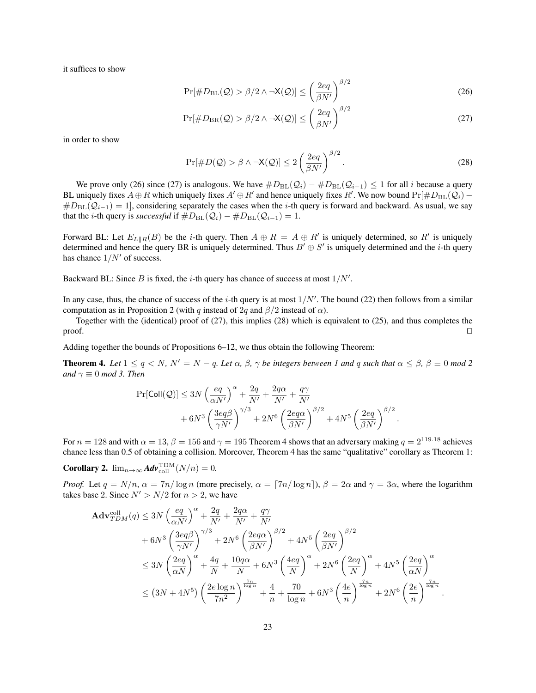it suffices to show

$$
\Pr[\#D_{\text{BL}}(\mathcal{Q}) > \beta/2 \land \neg \mathsf{X}(\mathcal{Q})] \le \left(\frac{2eq}{\beta N'}\right)^{\beta/2} \tag{26}
$$

$$
\Pr[\#D_{\text{BR}}(\mathcal{Q}) > \beta/2 \land \neg \mathsf{X}(\mathcal{Q})] \le \left(\frac{2eq}{\beta N'}\right)^{\beta/2} \tag{27}
$$

in order to show

$$
\Pr[\#D(\mathcal{Q}) > \beta \land \neg \mathsf{X}(\mathcal{Q})] \le 2 \left(\frac{2eq}{\beta N'}\right)^{\beta/2}.\tag{28}
$$

We prove only (26) since (27) is analogous. We have  $#D_{BL}(Q_i) - #D_{BL}(Q_{i-1}) \leq 1$  for all *i* because a query BL uniquely fixes  $A \oplus R$  which uniquely fixes  $A' \oplus R'$  and hence uniquely fixes  $R'$ . We now bound  $Pr[\#D_{\text{BL}}(\mathcal{Q}_i) -$ #*D*BL(*Q<sup>i</sup>−*<sup>1</sup>) = 1], considering separately the cases when the *i*-th query is forward and backward. As usual, we say that the *i*-th query is *successful* if  $#D_{BL}(Q_i) - #D_{BL}(Q_{i-1}) = 1$ .

Forward BL: Let  $E_{L||R}(B)$  be the *i*-th query. Then  $A \oplus R = A \oplus R'$  is uniquely determined, so R<sup>*'*</sup> is uniquely determined and hence the query BR is uniquely determined. Thus *B′ ⊕ S ′* is uniquely determined and the *i*-th query has chance  $1/N'$  of success.

Backward BL: Since *B* is fixed, the *i*-th query has chance of success at most 1*/N′* .

In any case, thus, the chance of success of the *i*-th query is at most  $1/N'$ . The bound (22) then follows from a similar computation as in Proposition 2 (with *q* instead of 2*q* and *β/*2 instead of *α*).

Together with the (identical) proof of (27), this implies (28) which is equivalent to (25), and thus completes the proof. *⊓⊔*

Adding together the bounds of Propositions 6–12, we thus obtain the following Theorem:

**Theorem 4.** Let  $1 \le q \le N$ ,  $N' = N - q$ . Let  $\alpha$ ,  $\beta$ ,  $\gamma$  be integers between 1 and q such that  $\alpha \le \beta$ ,  $\beta \equiv 0$  mod 2 *and γ ≡* 0 *mod 3. Then*

$$
\begin{split} \Pr[\text{Coll}(\mathcal{Q})] &\leq 3N \left(\frac{eq}{\alpha N'}\right)^{\alpha} + \frac{2q}{N'} + \frac{2q\alpha}{N'} + \frac{q\gamma}{N'}\\ &+ 6N^3 \left(\frac{3eq\beta}{\gamma N'}\right)^{\gamma/3} + 2N^6 \left(\frac{2eq\alpha}{\beta N'}\right)^{\beta/2} + 4N^5 \left(\frac{2eq}{\beta N'}\right)^{\beta/2}. \end{split}
$$

For  $n = 128$  and with  $\alpha = 13$ ,  $\beta = 156$  and  $\gamma = 195$  Theorem 4 shows that an adversary making  $q = 2^{119.18}$  achieves chance less than 0.5 of obtaining a collision. Moreover, Theorem 4 has the same "qualitative" corollary as Theorem 1:

**Corollary 2.**  $\lim_{n\to\infty} A d v_{\text{coll}}^{\text{TDM}}(N/n) = 0.$ 

*Proof.* Let  $q = N/n$ ,  $\alpha = 7n/\log n$  (more precisely,  $\alpha = \lfloor 7n/\log n \rfloor$ ),  $\beta = 2\alpha$  and  $\gamma = 3\alpha$ , where the logarithm takes base 2. Since  $N' > N/2$  for  $n > 2$ , we have

$$
\begin{split} \mathbf{Adv}_{TDM}^{\text{coll}}(q) &\leq 3N \left(\frac{eq}{\alpha N'}\right)^{\alpha} + \frac{2q}{N'} + \frac{2q\alpha}{N'} + \frac{q\gamma}{N'}\\ &+ 6N^3 \left(\frac{3eq\beta}{\gamma N'}\right)^{\gamma/3} + 2N^6 \left(\frac{2eq\alpha}{\beta N'}\right)^{\beta/2} + 4N^5 \left(\frac{2eq}{\beta N'}\right)^{\beta/2} \\ &\leq 3N \left(\frac{2eq}{\alpha N}\right)^{\alpha} + \frac{4q}{N} + \frac{10q\alpha}{N} + 6N^3 \left(\frac{4eq}{N}\right)^{\alpha} + 2N^6 \left(\frac{2eq}{N}\right)^{\alpha} + 4N^5 \left(\frac{2eq}{\alpha N}\right)^{\alpha} \\ &\leq \left(3N + 4N^5\right) \left(\frac{2e\log n}{7n^2}\right)^{\frac{7n}{\log n}} + \frac{4}{n} + \frac{70}{\log n} + 6N^3 \left(\frac{4e}{n}\right)^{\frac{7n}{\log n}} + 2N^6 \left(\frac{2e}{n}\right)^{\frac{7n}{\log n}} \end{split}
$$

*.*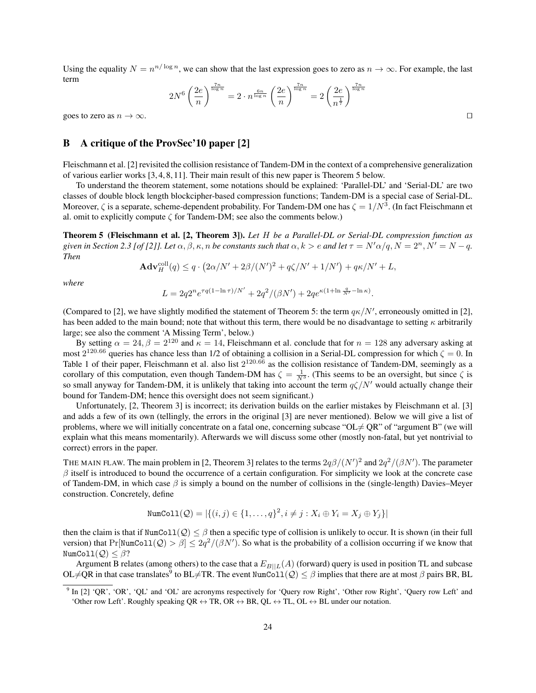Using the equality  $N = n^{n/\log n}$ , we can show that the last expression goes to zero as  $n \to \infty$ . For example, the last term

$$
2N^6\left(\frac{2e}{n}\right)^{\frac{7n}{\log n}} = 2 \cdot n^{\frac{6n}{\log n}}\left(\frac{2e}{n}\right)^{\frac{7n}{\log n}} = 2\left(\frac{2e}{n^{\frac{1}{7}}}\right)^{\frac{7n}{\log n}}
$$

goes to zero as  $n \to \infty$ .  $\Box$ 

## B A critique of the ProvSec'10 paper [2]

Fleischmann et al. [2] revisited the collision resistance of Tandem-DM in the context of a comprehensive generalization of various earlier works [3, 4, 8, 11]. Their main result of this new paper is Theorem 5 below.

To understand the theorem statement, some notations should be explained: 'Parallel-DL' and 'Serial-DL' are two classes of double block length blockcipher-based compression functions; Tandem-DM is a special case of Serial-DL. Moreover, *ζ* is a separate, scheme-dependent probability. For Tandem-DM one has *ζ* = 1*/N*<sup>3</sup> . (In fact Fleischmann et al. omit to explicitly compute *ζ* for Tandem-DM; see also the comments below.)

Theorem 5 (Fleischmann et al. [2, Theorem 3]). *Let H be a Parallel-DL or Serial-DL compression function as* given in Section 2.3 [of [2]]. Let  $\alpha, \beta, \kappa, n$  be constants such that  $\alpha, k > e$  and let  $\tau = N' \alpha / q, N = 2^n, N' = N - q$ . *Then*

$$
\mathbf{Adv}_{H}^{\text{coll}}(q) \leq q \cdot (2\alpha/N' + 2\beta/(N')^{2} + q\zeta/N' + 1/N') + q\kappa/N' + L,
$$

*where*

$$
L = 2q2^{n}e^{\tau q(1-\ln \tau)/N'} + 2q^{2}/(\beta N') + 2qe^{\kappa(1+\ln \frac{q}{N'}-\ln \kappa)}.
$$

(Compared to [2], we have slightly modified the statement of Theorem 5: the term  $q\kappa/N'$ , erroneously omitted in [2], has been added to the main bound; note that without this term, there would be no disadvantage to setting *κ* arbitrarily large; see also the comment 'A Missing Term', below.)

By setting  $\alpha = 24$ ,  $\beta = 2^{120}$  and  $\kappa = 14$ , Fleischmann et al. conclude that for  $n = 128$  any adversary asking at most  $2^{120.66}$  queries has chance less than 1/2 of obtaining a collision in a Serial-DL compression for which  $\zeta = 0$ . In Table 1 of their paper, Fleischmann et al*.* also list 2 <sup>120</sup>*.*<sup>66</sup> as the collision resistance of Tandem-DM, seemingly as a corollary of this computation, even though Tandem-DM has  $\zeta = \frac{1}{N^3}$ . (This seems to be an oversight, but since  $\zeta$  is so small anyway for Tandem-DM, it is unlikely that taking into account the term  $q\zeta/N'$  would actually change their bound for Tandem-DM; hence this oversight does not seem significant.)

Unfortunately, [2, Theorem 3] is incorrect; its derivation builds on the earlier mistakes by Fleischmann et al. [3] and adds a few of its own (tellingly, the errors in the original [3] are never mentioned). Below we will give a list of problems, where we will initially concentrate on a fatal one, concerning subcase " $OL \neq QR$ " of "argument B" (we will explain what this means momentarily). Afterwards we will discuss some other (mostly non-fatal, but yet nontrivial to correct) errors in the paper.

THE MAIN FLAW. The main problem in [2, Theorem 3] relates to the terms  $2q\beta/(N')^2$  and  $2q^2/(\beta N')$ . The parameter  $\beta$  itself is introduced to bound the occurrence of a certain configuration. For simplicity we look at the concrete case of Tandem-DM, in which case *β* is simply a bound on the number of collisions in the (single-length) Davies–Meyer construction. Concretely, define

NumCo11(Q) = 
$$
|\{(i, j) \in \{1, ..., q\}^2, i \neq j : X_i \oplus Y_i = X_j \oplus Y_j\}|
$$

then the claim is that if  $NumColl(Q) \leq \beta$  then a specific type of collision is unlikely to occur. It is shown (in their full version) that  $Pr[\text{NumCol1}(\mathcal{Q}) > \beta] \leq 2q^2/(\beta N')$ . So what is the probability of a collision occurring if we know that NumColl $(Q) \leq \beta$ ?

Argument B relates (among others) to the case that a  $E_{B||L}(A)$  (forward) query is used in position TL and subcase OL $\neq$ QR in that case translates<sup>9</sup> to BL $\neq$ TR. The event NumColl(*Q*)  $\leq$  *β* implies that there are at most *β* pairs BR, BL

<sup>&</sup>lt;sup>9</sup> In [2] 'QR', 'OR', 'QL' and 'OL' are acronyms respectively for 'Query row Right', 'Other row Right', 'Query row Left' and 'Other row Left'. Roughly speaking QR *↔* TR, OR *↔* BR, QL *↔* TL, OL *↔* BL under our notation.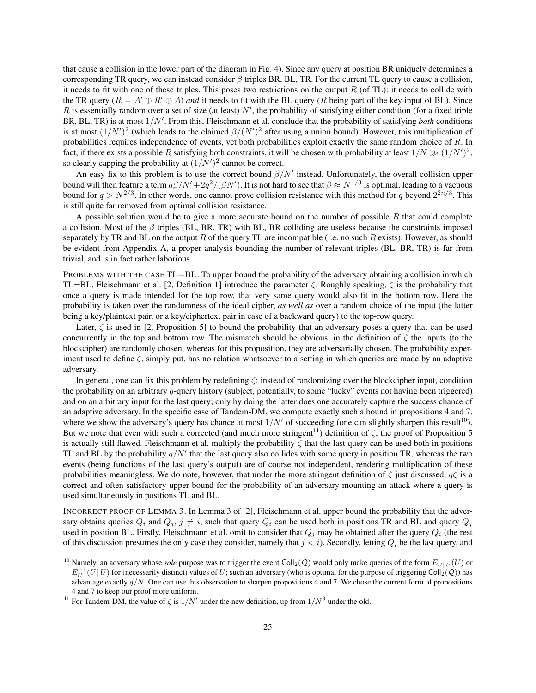that cause a collision in the lower part of the diagram in Fig*.* 4). Since any query at position BR uniquely determines a corresponding TR query, we can instead consider *β* triples BR, BL, TR. For the current TL query to cause a collision, it needs to fit with one of these triples. This poses two restrictions on the output *R* (of TL): it needs to collide with the TR query  $(R = A' \oplus R' \oplus A)$  *and* it needs to fit with the BL query (*R* being part of the key input of BL). Since *R* is essentially random over a set of size (at least) *N′* , the probability of satisfying either condition (for a fixed triple BR, BL, TR) is at most 1*/N′* . From this, Fleischmann et al. conclude that the probability of satisfying *both* conditions is at most  $(1/N')^2$  (which leads to the claimed  $\beta/(N')^2$  after using a union bound). However, this multiplication of probabilities requires independence of events, yet both probabilities exploit exactly the same random choice of *R*. In fact, if there exists a possible R satisfying both constraints, it will be chosen with probability at least  $1/N \gg (1/N')^2$ , so clearly capping the probability at  $(1/N')^2$  cannot be correct.

An easy fix to this problem is to use the correct bound *β/N′* instead. Unfortunately, the overall collision upper bound will then feature a term  $q\beta/N'+2q^2/(\beta N')$ . It is not hard to see that  $\beta \approx N^{1/3}$  is optimal, leading to a vacuous bound for  $q > N^{2/3}$ . In other words, one cannot prove collision resistance with this method for q beyond  $2^{2n/3}$ . This is still quite far removed from optimal collision resistance.

A possible solution would be to give a more accurate bound on the number of possible *R* that could complete a collision. Most of the *β* triples (BL, BR, TR) with BL, BR colliding are useless because the constraints imposed separately by TR and BL on the output *R* of the query TL are incompatible (i.e*.* no such *R* exists). However, as should be evident from Appendix A, a proper analysis bounding the number of relevant triples (BL, BR, TR) is far from trivial, and is in fact rather laborious.

PROBLEMS WITH THE CASE TL=BL. To upper bound the probability of the adversary obtaining a collision in which TL=BL, Fleischmann et al. [2, Definition 1] introduce the parameter *ζ*. Roughly speaking, *ζ* is the probability that once a query is made intended for the top row, that very same query would also fit in the bottom row. Here the probability is taken over the randomness of the ideal cipher, *as well as* over a random choice of the input (the latter being a key/plaintext pair, or a key/ciphertext pair in case of a backward query) to the top-row query.

Later, *ζ* is used in [2, Proposition 5] to bound the probability that an adversary poses a query that can be used concurrently in the top and bottom row. The mismatch should be obvious: in the definition of *ζ* the inputs (to the blockcipher) are randomly chosen, whereas for this proposition, they are adversarially chosen. The probability experiment used to define *ζ*, simply put, has no relation whatsoever to a setting in which queries are made by an adaptive adversary.

In general, one can fix this problem by redefining *ζ*: instead of randomizing over the blockcipher input, condition the probability on an arbitrary *q*-query history (subject, potentially, to some "lucky" events not having been triggered) and on an arbitrary input for the last query; only by doing the latter does one accurately capture the success chance of an adaptive adversary. In the specific case of Tandem-DM, we compute exactly such a bound in propositions 4 and 7, where we show the adversary's query has chance at most  $1/N'$  of succeeding (one can slightly sharpen this result<sup>10</sup>). But we note that even with such a corrected (and much more stringent<sup>11</sup>) definition of  $\zeta$ , the proof of Proposition 5 is actually still flawed. Fleischmann et al. multiply the probability *ζ* that the last query can be used both in positions TL and BL by the probability *q/N′* that the last query also collides with some query in position TR, whereas the two events (being functions of the last query's output) are of course not independent, rendering multiplication of these probabilities meaningless. We do note, however, that under the more stringent definition of *ζ* just discussed, *qζ* is a correct and often satisfactory upper bound for the probability of an adversary mounting an attack where a query is used simultaneously in positions TL and BL.

INCORRECT PROOF OF LEMMA 3. In Lemma 3 of [2], Fleischmann et al. upper bound the probability that the adversary obtains queries  $Q_i$  and  $Q_j$ ,  $j \neq i$ , such that query  $Q_i$  can be used both in positions TR and BL and query  $Q_j$ used in position BL. Firstly, Fleischmann et al. omit to consider that *Q<sup>j</sup>* may be obtained after the query *Q<sup>i</sup>* (the rest of this discussion presumes the only case they consider, namely that  $j < i$ ). Secondly, letting  $Q_i$  be the last query, and

<sup>&</sup>lt;sup>10</sup> Namely, an adversary whose *sole* purpose was to trigger the event Coll<sub>2</sub>(*Q*) would only make queries of the form  $E_{U||U}(U)$  or  $E_U^{-1}(U||U)$  for (necessarily distinct) values of *U*; such an adversary (who is optimal for the purpose of triggering Coll<sub>2</sub>(*Q*)) has advantage exactly *q/N*. One can use this observation to sharpen propositions 4 and 7. We chose the current form of propositions 4 and 7 to keep our proof more uniform.

<sup>&</sup>lt;sup>11</sup> For Tandem-DM, the value of  $\zeta$  is  $1/N'$  under the new definition, up from  $1/N^3$  under the old.